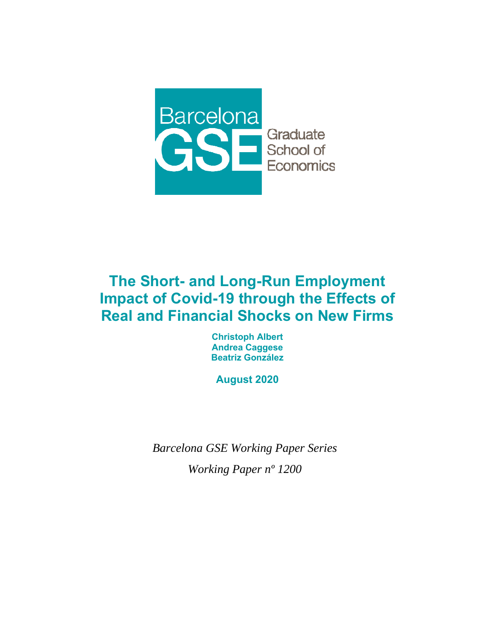

# **The Short- and Long-Run Employment Impact of Covid-19 through the Effects of Real and Financial Shocks on New Firms**

**Christoph Albert Andrea Caggese Beatriz González** 

**August 2020** 

*Barcelona GSE Working Paper Series Working Paper nº 1200*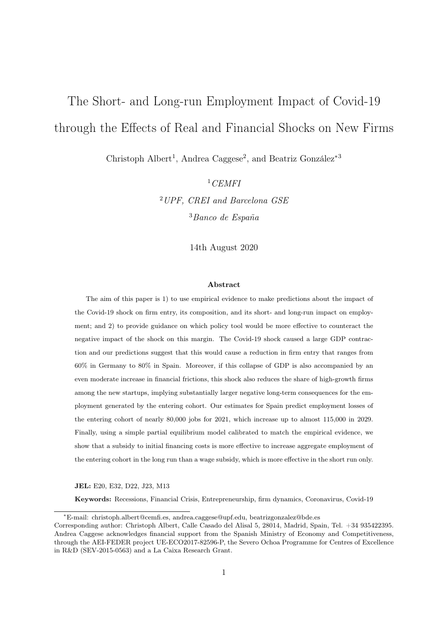# The Short- and Long-run Employment Impact of Covid-19 through the Effects of Real and Financial Shocks on New Firms

Christoph Albert<sup>1</sup>, Andrea Caggese<sup>2</sup>, and Beatriz González<sup>\*3</sup>

 $1$ CEMFI <sup>2</sup>UPF, CREI and Barcelona GSE <sup>3</sup>Banco de España

14th August 2020

#### Abstract

The aim of this paper is 1) to use empirical evidence to make predictions about the impact of the Covid-19 shock on firm entry, its composition, and its short- and long-run impact on employment; and 2) to provide guidance on which policy tool would be more effective to counteract the negative impact of the shock on this margin. The Covid-19 shock caused a large GDP contraction and our predictions suggest that this would cause a reduction in firm entry that ranges from 60% in Germany to 80% in Spain. Moreover, if this collapse of GDP is also accompanied by an even moderate increase in financial frictions, this shock also reduces the share of high-growth firms among the new startups, implying substantially larger negative long-term consequences for the employment generated by the entering cohort. Our estimates for Spain predict employment losses of the entering cohort of nearly 80,000 jobs for 2021, which increase up to almost 115,000 in 2029. Finally, using a simple partial equilibrium model calibrated to match the empirical evidence, we show that a subsidy to initial financing costs is more effective to increase aggregate employment of the entering cohort in the long run than a wage subsidy, which is more effective in the short run only.

JEL: E20, E32, D22, J23, M13

Keywords: Recessions, Financial Crisis, Entrepreneurship, firm dynamics, Coronavirus, Covid-19

<sup>∗</sup>E-mail: christoph.albert@cemfi.es, andrea.caggese@upf.edu, beatrizgonzalez@bde.es

Corresponding author: Christoph Albert, Calle Casado del Alisal 5, 28014, Madrid, Spain, Tel. +34 935422395. Andrea Caggese acknowledges financial support from the Spanish Ministry of Economy and Competitiveness, through the AEI-FEDER project UE-ECO2017-82596-P, the Severo Ochoa Programme for Centres of Excellence in R&D (SEV-2015-0563) and a La Caixa Research Grant.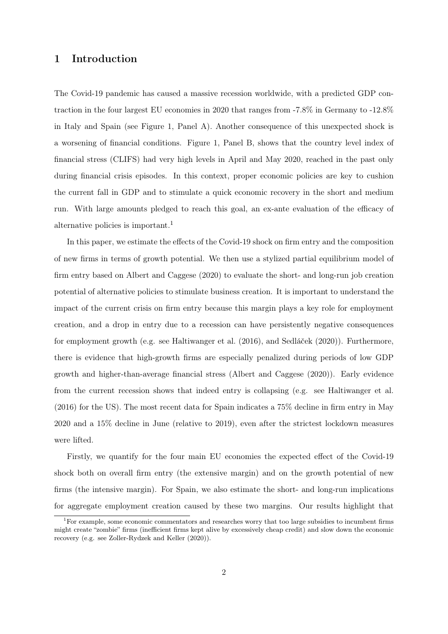# 1 Introduction

The Covid-19 pandemic has caused a massive recession worldwide, with a predicted GDP contraction in the four largest EU economies in 2020 that ranges from -7.8% in Germany to -12.8% in Italy and Spain (see Figure 1, Panel A). Another consequence of this unexpected shock is a worsening of financial conditions. Figure 1, Panel B, shows that the country level index of financial stress (CLIFS) had very high levels in April and May 2020, reached in the past only during financial crisis episodes. In this context, proper economic policies are key to cushion the current fall in GDP and to stimulate a quick economic recovery in the short and medium run. With large amounts pledged to reach this goal, an ex-ante evaluation of the efficacy of alternative policies is important.<sup>1</sup>

In this paper, we estimate the effects of the Covid-19 shock on firm entry and the composition of new firms in terms of growth potential. We then use a stylized partial equilibrium model of firm entry based on Albert and Caggese (2020) to evaluate the short- and long-run job creation potential of alternative policies to stimulate business creation. It is important to understand the impact of the current crisis on firm entry because this margin plays a key role for employment creation, and a drop in entry due to a recession can have persistently negative consequences for employment growth (e.g. see Haltiwanger et al. (2016), and Sedláček (2020)). Furthermore, there is evidence that high-growth firms are especially penalized during periods of low GDP growth and higher-than-average financial stress (Albert and Caggese (2020)). Early evidence from the current recession shows that indeed entry is collapsing (e.g. see Haltiwanger et al. (2016) for the US). The most recent data for Spain indicates a 75% decline in firm entry in May 2020 and a 15% decline in June (relative to 2019), even after the strictest lockdown measures were lifted.

Firstly, we quantify for the four main EU economies the expected effect of the Covid-19 shock both on overall firm entry (the extensive margin) and on the growth potential of new firms (the intensive margin). For Spain, we also estimate the short- and long-run implications for aggregate employment creation caused by these two margins. Our results highlight that

<sup>&</sup>lt;sup>1</sup>For example, some economic commentators and researches worry that too large subsidies to incumbent firms might create "zombie" firms (inefficient firms kept alive by excessively cheap credit) and slow down the economic recovery (e.g. see Zoller-Rydzek and Keller (2020)).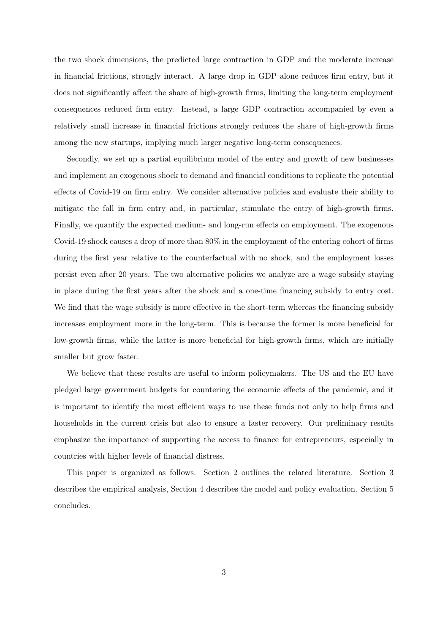the two shock dimensions, the predicted large contraction in GDP and the moderate increase in financial frictions, strongly interact. A large drop in GDP alone reduces firm entry, but it does not significantly affect the share of high-growth firms, limiting the long-term employment consequences reduced firm entry. Instead, a large GDP contraction accompanied by even a relatively small increase in financial frictions strongly reduces the share of high-growth firms among the new startups, implying much larger negative long-term consequences.

Secondly, we set up a partial equilibrium model of the entry and growth of new businesses and implement an exogenous shock to demand and financial conditions to replicate the potential effects of Covid-19 on firm entry. We consider alternative policies and evaluate their ability to mitigate the fall in firm entry and, in particular, stimulate the entry of high-growth firms. Finally, we quantify the expected medium- and long-run effects on employment. The exogenous Covid-19 shock causes a drop of more than 80% in the employment of the entering cohort of firms during the first year relative to the counterfactual with no shock, and the employment losses persist even after 20 years. The two alternative policies we analyze are a wage subsidy staying in place during the first years after the shock and a one-time financing subsidy to entry cost. We find that the wage subsidy is more effective in the short-term whereas the financing subsidy increases employment more in the long-term. This is because the former is more beneficial for low-growth firms, while the latter is more beneficial for high-growth firms, which are initially smaller but grow faster.

We believe that these results are useful to inform policymakers. The US and the EU have pledged large government budgets for countering the economic effects of the pandemic, and it is important to identify the most efficient ways to use these funds not only to help firms and households in the current crisis but also to ensure a faster recovery. Our preliminary results emphasize the importance of supporting the access to finance for entrepreneurs, especially in countries with higher levels of financial distress.

This paper is organized as follows. Section 2 outlines the related literature. Section 3 describes the empirical analysis, Section 4 describes the model and policy evaluation. Section 5 concludes.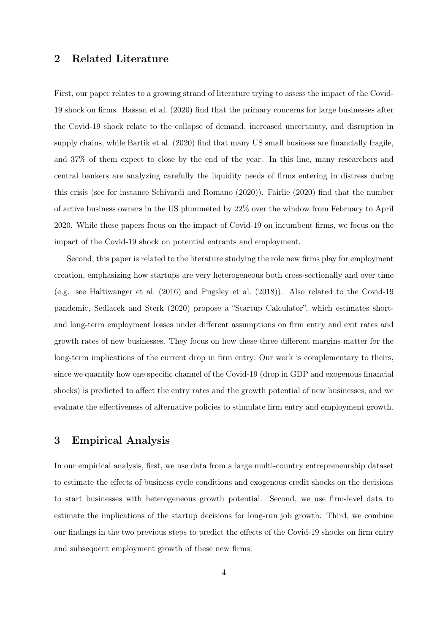# 2 Related Literature

First, our paper relates to a growing strand of literature trying to assess the impact of the Covid-19 shock on firms. Hassan et al. (2020) find that the primary concerns for large businesses after the Covid-19 shock relate to the collapse of demand, increased uncertainty, and disruption in supply chains, while Bartik et al. (2020) find that many US small business are financially fragile, and 37% of them expect to close by the end of the year. In this line, many researchers and central bankers are analyzing carefully the liquidity needs of firms entering in distress during this crisis (see for instance Schivardi and Romano (2020)). Fairlie (2020) find that the number of active business owners in the US plummeted by 22% over the window from February to April 2020. While these papers focus on the impact of Covid-19 on incumbent firms, we focus on the impact of the Covid-19 shock on potential entrants and employment.

Second, this paper is related to the literature studying the role new firms play for employment creation, emphasizing how startups are very heterogeneous both cross-sectionally and over time (e.g. see Haltiwanger et al. (2016) and Pugsley et al. (2018)). Also related to the Covid-19 pandemic, Sedlacek and Sterk (2020) propose a "Startup Calculator", which estimates shortand long-term employment losses under different assumptions on firm entry and exit rates and growth rates of new businesses. They focus on how these three different margins matter for the long-term implications of the current drop in firm entry. Our work is complementary to theirs, since we quantify how one specific channel of the Covid-19 (drop in GDP and exogenous financial shocks) is predicted to affect the entry rates and the growth potential of new businesses, and we evaluate the effectiveness of alternative policies to stimulate firm entry and employment growth.

# 3 Empirical Analysis

In our empirical analysis, first, we use data from a large multi-country entrepreneurship dataset to estimate the effects of business cycle conditions and exogenous credit shocks on the decisions to start businesses with heterogeneous growth potential. Second, we use firm-level data to estimate the implications of the startup decisions for long-run job growth. Third, we combine our findings in the two previous steps to predict the effects of the Covid-19 shocks on firm entry and subsequent employment growth of these new firms.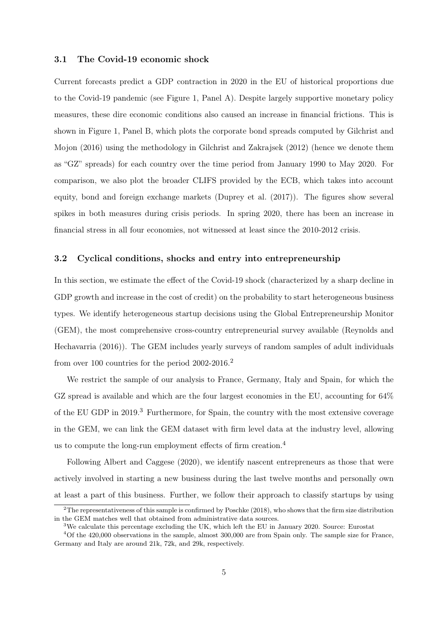#### 3.1 The Covid-19 economic shock

Current forecasts predict a GDP contraction in 2020 in the EU of historical proportions due to the Covid-19 pandemic (see Figure 1, Panel A). Despite largely supportive monetary policy measures, these dire economic conditions also caused an increase in financial frictions. This is shown in Figure 1, Panel B, which plots the corporate bond spreads computed by Gilchrist and Mojon (2016) using the methodology in Gilchrist and Zakrajsek (2012) (hence we denote them as "GZ" spreads) for each country over the time period from January 1990 to May 2020. For comparison, we also plot the broader CLIFS provided by the ECB, which takes into account equity, bond and foreign exchange markets (Duprey et al. (2017)). The figures show several spikes in both measures during crisis periods. In spring 2020, there has been an increase in financial stress in all four economies, not witnessed at least since the 2010-2012 crisis.

#### 3.2 Cyclical conditions, shocks and entry into entrepreneurship

In this section, we estimate the effect of the Covid-19 shock (characterized by a sharp decline in GDP growth and increase in the cost of credit) on the probability to start heterogeneous business types. We identify heterogeneous startup decisions using the Global Entrepreneurship Monitor (GEM), the most comprehensive cross-country entrepreneurial survey available (Reynolds and Hechavarria (2016)). The GEM includes yearly surveys of random samples of adult individuals from over 100 countries for the period 2002-2016.<sup>2</sup>

We restrict the sample of our analysis to France, Germany, Italy and Spain, for which the GZ spread is available and which are the four largest economies in the EU, accounting for 64% of the EU GDP in 2019.<sup>3</sup> Furthermore, for Spain, the country with the most extensive coverage in the GEM, we can link the GEM dataset with firm level data at the industry level, allowing us to compute the long-run employment effects of firm creation.<sup>4</sup>

Following Albert and Caggese (2020), we identify nascent entrepreneurs as those that were actively involved in starting a new business during the last twelve months and personally own at least a part of this business. Further, we follow their approach to classify startups by using

 $2$ The representativeness of this sample is confirmed by Poschke (2018), who shows that the firm size distribution in the GEM matches well that obtained from administrative data sources.

<sup>&</sup>lt;sup>3</sup>We calculate this percentage excluding the UK, which left the EU in January 2020. Source: Eurostat

<sup>4</sup>Of the 420,000 observations in the sample, almost 300,000 are from Spain only. The sample size for France, Germany and Italy are around 21k, 72k, and 29k, respectively.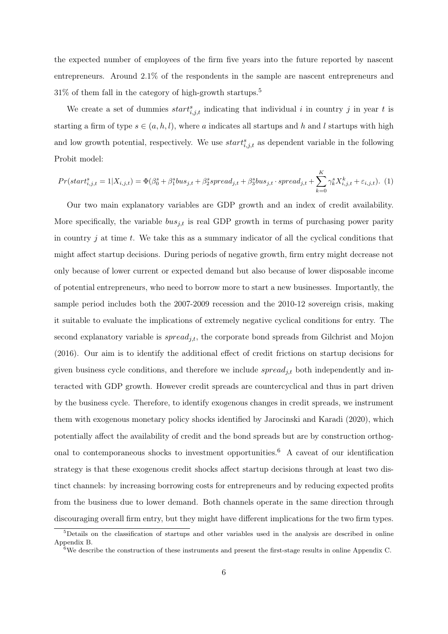the expected number of employees of the firm five years into the future reported by nascent entrepreneurs. Around 2.1% of the respondents in the sample are nascent entrepreneurs and  $31\%$  of them fall in the category of high-growth startups.<sup>5</sup>

We create a set of dummies  $start_{i,j,t}^s$  indicating that individual i in country j in year t is starting a firm of type  $s \in (a, h, l)$ , where a indicates all startups and h and l startups with high and low growth potential, respectively. We use  $start_{i,j,t}^s$  as dependent variable in the following Probit model:

$$
Pr(start_{i,j,t}^s = 1 | X_{i,j,t}) = \Phi(\beta_0^s + \beta_1^s bus_{j,t} + \beta_2^s spread_{j,t} + \beta_3^s bus_{j,t} \cdot spread_{j,t} + \sum_{k=0}^{K} \gamma_k^s X_{i,j,t}^k + \varepsilon_{i,j,t}).
$$
 (1)

Our two main explanatory variables are GDP growth and an index of credit availability. More specifically, the variable  $bus_{j,t}$  is real GDP growth in terms of purchasing power parity in country  $j$  at time  $t$ . We take this as a summary indicator of all the cyclical conditions that might affect startup decisions. During periods of negative growth, firm entry might decrease not only because of lower current or expected demand but also because of lower disposable income of potential entrepreneurs, who need to borrow more to start a new businesses. Importantly, the sample period includes both the 2007-2009 recession and the 2010-12 sovereign crisis, making it suitable to evaluate the implications of extremely negative cyclical conditions for entry. The second explanatory variable is  $spread_{j,t}$ , the corporate bond spreads from Gilchrist and Mojon (2016). Our aim is to identify the additional effect of credit frictions on startup decisions for given business cycle conditions, and therefore we include  $spread_{j,t}$  both independently and interacted with GDP growth. However credit spreads are countercyclical and thus in part driven by the business cycle. Therefore, to identify exogenous changes in credit spreads, we instrument them with exogenous monetary policy shocks identified by Jarocinski and Karadi (2020), which potentially affect the availability of credit and the bond spreads but are by construction orthogonal to contemporaneous shocks to investment opportunities.<sup>6</sup> A caveat of our identification strategy is that these exogenous credit shocks affect startup decisions through at least two distinct channels: by increasing borrowing costs for entrepreneurs and by reducing expected profits from the business due to lower demand. Both channels operate in the same direction through discouraging overall firm entry, but they might have different implications for the two firm types.

<sup>5</sup>Details on the classification of startups and other variables used in the analysis are described in online Appendix B.

<sup>&</sup>lt;sup>6</sup>We describe the construction of these instruments and present the first-stage results in online Appendix C.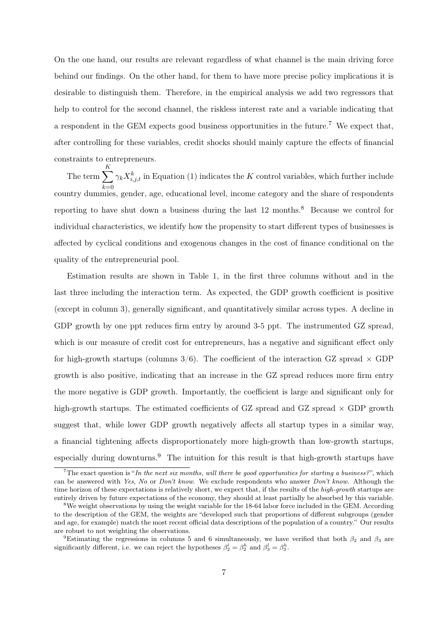On the one hand, our results are relevant regardless of what channel is the main driving force behind our findings. On the other hand, for them to have more precise policy implications it is desirable to distinguish them. Therefore, in the empirical analysis we add two regressors that help to control for the second channel, the riskless interest rate and a variable indicating that a respondent in the GEM expects good business opportunities in the future.<sup>7</sup> We expect that, after controlling for these variables, credit shocks should mainly capture the effects of financial constraints to entrepreneurs.

The term  $\sum$ K  $k=0$ <br>country dummies, gender, age, educational level, income category and the share of respondents  $\gamma_k X_{i,j,t}^k$  in Equation (1) indicates the K control variables, which further include reporting to have shut down a business during the last 12 months.<sup>8</sup> Because we control for individual characteristics, we identify how the propensity to start different types of businesses is affected by cyclical conditions and exogenous changes in the cost of finance conditional on the quality of the entrepreneurial pool.

Estimation results are shown in Table 1, in the first three columns without and in the last three including the interaction term. As expected, the GDP growth coefficient is positive (except in column 3), generally significant, and quantitatively similar across types. A decline in GDP growth by one ppt reduces firm entry by around 3-5 ppt. The instrumented GZ spread, which is our measure of credit cost for entrepreneurs, has a negative and significant effect only for high-growth startups (columns  $3/6$ ). The coefficient of the interaction GZ spread  $\times$  GDP growth is also positive, indicating that an increase in the GZ spread reduces more firm entry the more negative is GDP growth. Importantly, the coefficient is large and significant only for high-growth startups. The estimated coefficients of GZ spread and GZ spread  $\times$  GDP growth suggest that, while lower GDP growth negatively affects all startup types in a similar way, a financial tightening affects disproportionately more high-growth than low-growth startups, especially during downturns.<sup>9</sup> The intuition for this result is that high-growth startups have

<sup>&</sup>lt;sup>7</sup>The exact question is "In the next six months, will there be good opportunities for starting a business?", which can be answered with Yes, No or Don't know. We exclude respondents who answer Don't know. Although the time horizon of these expectations is relatively short, we expect that, if the results of the *high-growth* startups are entirely driven by future expectations of the economy, they should at least partially be absorbed by this variable.

<sup>&</sup>lt;sup>8</sup>We weight observations by using the weight variable for the 18-64 labor force included in the GEM. According to the description of the GEM, the weights are "developed such that proportions of different subgroups (gender and age, for example) match the most recent official data descriptions of the population of a country." Our results are robust to not weighting the observations.

<sup>&</sup>lt;sup>9</sup>Estimating the regressions in columns 5 and 6 simultaneously, we have verified that both  $\beta_2$  and  $\beta_3$  are significantly different, i.e. we can reject the hypotheses  $\beta_2^l = \beta_2^h$  and  $\beta_3^l = \beta_3^h$ .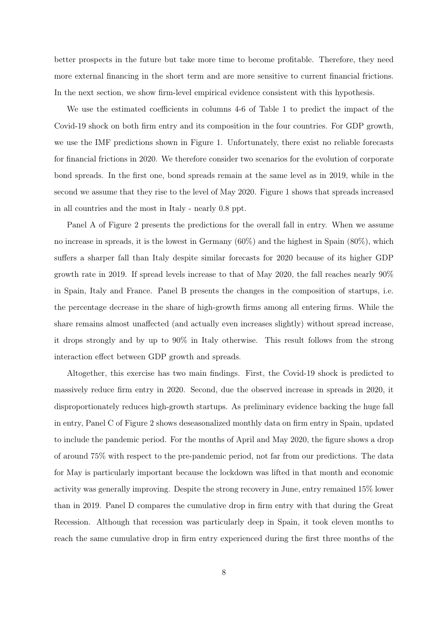better prospects in the future but take more time to become profitable. Therefore, they need more external financing in the short term and are more sensitive to current financial frictions. In the next section, we show firm-level empirical evidence consistent with this hypothesis.

We use the estimated coefficients in columns 4-6 of Table 1 to predict the impact of the Covid-19 shock on both firm entry and its composition in the four countries. For GDP growth, we use the IMF predictions shown in Figure 1. Unfortunately, there exist no reliable forecasts for financial frictions in 2020. We therefore consider two scenarios for the evolution of corporate bond spreads. In the first one, bond spreads remain at the same level as in 2019, while in the second we assume that they rise to the level of May 2020. Figure 1 shows that spreads increased in all countries and the most in Italy - nearly 0.8 ppt.

Panel A of Figure 2 presents the predictions for the overall fall in entry. When we assume no increase in spreads, it is the lowest in Germany (60%) and the highest in Spain (80%), which suffers a sharper fall than Italy despite similar forecasts for 2020 because of its higher GDP growth rate in 2019. If spread levels increase to that of May 2020, the fall reaches nearly 90% in Spain, Italy and France. Panel B presents the changes in the composition of startups, i.e. the percentage decrease in the share of high-growth firms among all entering firms. While the share remains almost unaffected (and actually even increases slightly) without spread increase, it drops strongly and by up to 90% in Italy otherwise. This result follows from the strong interaction effect between GDP growth and spreads.

Altogether, this exercise has two main findings. First, the Covid-19 shock is predicted to massively reduce firm entry in 2020. Second, due the observed increase in spreads in 2020, it disproportionately reduces high-growth startups. As preliminary evidence backing the huge fall in entry, Panel C of Figure 2 shows deseasonalized monthly data on firm entry in Spain, updated to include the pandemic period. For the months of April and May 2020, the figure shows a drop of around 75% with respect to the pre-pandemic period, not far from our predictions. The data for May is particularly important because the lockdown was lifted in that month and economic activity was generally improving. Despite the strong recovery in June, entry remained 15% lower than in 2019. Panel D compares the cumulative drop in firm entry with that during the Great Recession. Although that recession was particularly deep in Spain, it took eleven months to reach the same cumulative drop in firm entry experienced during the first three months of the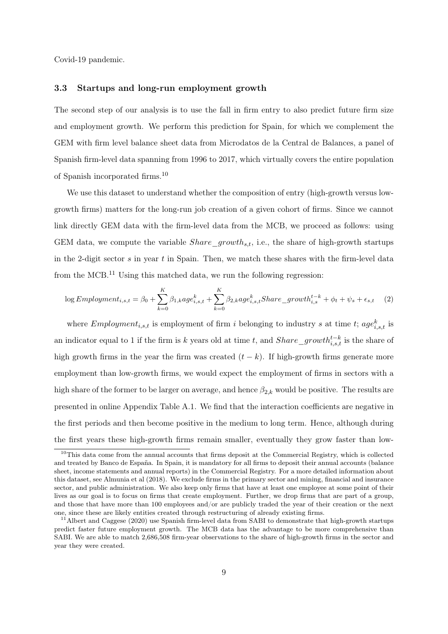Covid-19 pandemic.

#### 3.3 Startups and long-run employment growth

The second step of our analysis is to use the fall in firm entry to also predict future firm size and employment growth. We perform this prediction for Spain, for which we complement the GEM with firm level balance sheet data from Microdatos de la Central de Balances, a panel of Spanish firm-level data spanning from 1996 to 2017, which virtually covers the entire population of Spanish incorporated firms.<sup>10</sup>

We use this dataset to understand whether the composition of entry (high-growth versus lowgrowth firms) matters for the long-run job creation of a given cohort of firms. Since we cannot link directly GEM data with the firm-level data from the MCB, we proceed as follows: using GEM data, we compute the variable  $Share\_growth_{s,t}$ , i.e., the share of high-growth startups in the 2-digit sector  $s$  in year  $t$  in Spain. Then, we match these shares with the firm-level data from the MCB.<sup>11</sup> Using this matched data, we run the following regression:

$$
\log Emplogment_{i,s,t} = \beta_0 + \sum_{k=0}^{K} \beta_{1,k}age_{i,s,t}^k + \sum_{k=0}^{K} \beta_{2,k}age_{i,s,t}^kShare\_growth_{i,s}^{t-k} + \phi_t + \psi_s + \epsilon_{s,t} \quad (2)
$$

where  $Emplogment_{i,s,t}$  is employment of firm i belonging to industry s at time t;  $age_{i,s,t}^k$  is an indicator equal to 1 if the firm is k years old at time t, and  $Share\_growth^{t-k}_{i,s,t}$  is the share of high growth firms in the year the firm was created  $(t - k)$ . If high-growth firms generate more employment than low-growth firms, we would expect the employment of firms in sectors with a high share of the former to be larger on average, and hence  $\beta_{2,k}$  would be positive. The results are presented in online Appendix Table A.1. We find that the interaction coefficients are negative in the first periods and then become positive in the medium to long term. Hence, although during the first years these high-growth firms remain smaller, eventually they grow faster than low-

<sup>&</sup>lt;sup>10</sup>This data come from the annual accounts that firms deposit at the Commercial Registry, which is collected and treated by Banco de España. In Spain, it is mandatory for all firms to deposit their annual accounts (balance sheet, income statements and annual reports) in the Commercial Registry. For a more detailed information about this dataset, see Almunia et al (2018). We exclude firms in the primary sector and mining, financial and insurance sector, and public administration. We also keep only firms that have at least one employee at some point of their lives as our goal is to focus on firms that create employment. Further, we drop firms that are part of a group, and those that have more than 100 employees and/or are publicly traded the year of their creation or the next one, since these are likely entities created through restructuring of already existing firms.

<sup>&</sup>lt;sup>11</sup>Albert and Caggese (2020) use Spanish firm-level data from SABI to demonstrate that high-growth startups predict faster future employment growth. The MCB data has the advantage to be more comprehensive than SABI. We are able to match 2,686,508 firm-year observations to the share of high-growth firms in the sector and year they were created.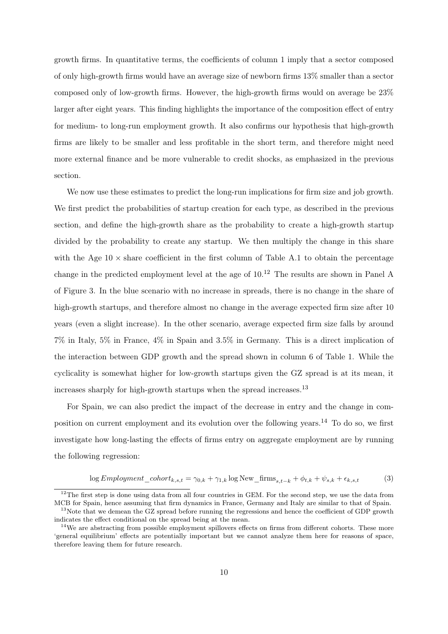growth firms. In quantitative terms, the coefficients of column 1 imply that a sector composed of only high-growth firms would have an average size of newborn firms 13% smaller than a sector composed only of low-growth firms. However, the high-growth firms would on average be 23% larger after eight years. This finding highlights the importance of the composition effect of entry for medium- to long-run employment growth. It also confirms our hypothesis that high-growth firms are likely to be smaller and less profitable in the short term, and therefore might need more external finance and be more vulnerable to credit shocks, as emphasized in the previous section.

We now use these estimates to predict the long-run implications for firm size and job growth. We first predict the probabilities of startup creation for each type, as described in the previous section, and define the high-growth share as the probability to create a high-growth startup divided by the probability to create any startup. We then multiply the change in this share with the Age  $10 \times$  share coefficient in the first column of Table A.1 to obtain the percentage change in the predicted employment level at the age of  $10^{12}$ . The results are shown in Panel A of Figure 3. In the blue scenario with no increase in spreads, there is no change in the share of high-growth startups, and therefore almost no change in the average expected firm size after 10 years (even a slight increase). In the other scenario, average expected firm size falls by around 7% in Italy, 5% in France, 4% in Spain and 3.5% in Germany. This is a direct implication of the interaction between GDP growth and the spread shown in column 6 of Table 1. While the cyclicality is somewhat higher for low-growth startups given the GZ spread is at its mean, it increases sharply for high-growth startups when the spread increases.<sup>13</sup>

For Spain, we can also predict the impact of the decrease in entry and the change in composition on current employment and its evolution over the following years.<sup>14</sup> To do so, we first investigate how long-lasting the effects of firms entry on aggregate employment are by running the following regression:

$$
\log Emplogment\_cohort_{k,s,t} = \gamma_{0,k} + \gamma_{1,k} \log New\_firms_{s,t-k} + \phi_{t,k} + \psi_{s,k} + \epsilon_{k,s,t}
$$
(3)

 $12$ The first step is done using data from all four countries in GEM. For the second step, we use the data from MCB for Spain, hence assuming that firm dynamics in France, Germany and Italy are similar to that of Spain.

<sup>&</sup>lt;sup>13</sup>Note that we demean the GZ spread before running the regressions and hence the coefficient of GDP growth indicates the effect conditional on the spread being at the mean.

<sup>&</sup>lt;sup>14</sup>We are abstracting from possible employment spillovers effects on firms from different cohorts. These more 'general equilibrium' effects are potentially important but we cannot analyze them here for reasons of space, therefore leaving them for future research.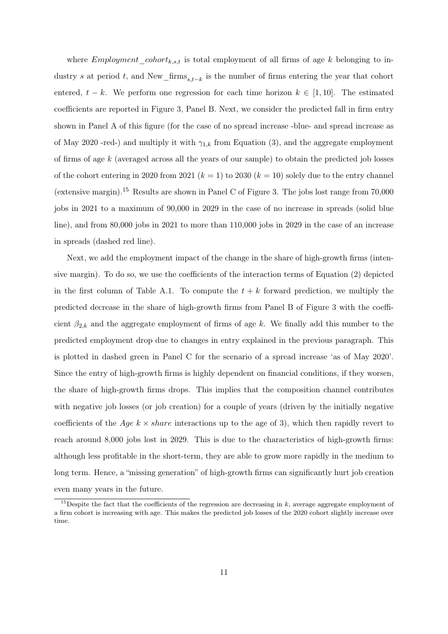where  $Emplogment\_cohort_{k,s,t}$  is total employment of all firms of age k belonging to industry s at period t, and New\_firms<sub>s,t−k</sub> is the number of firms entering the year that cohort entered,  $t - k$ . We perform one regression for each time horizon  $k \in [1, 10]$ . The estimated coefficients are reported in Figure 3, Panel B. Next, we consider the predicted fall in firm entry shown in Panel A of this figure (for the case of no spread increase -blue- and spread increase as of May 2020 -red-) and multiply it with  $\gamma_{1,k}$  from Equation (3), and the aggregate employment of firms of age k (averaged across all the years of our sample) to obtain the predicted job losses of the cohort entering in 2020 from 2021  $(k = 1)$  to 2030  $(k = 10)$  solely due to the entry channel (extensive margin).<sup>15</sup> Results are shown in Panel C of Figure 3. The jobs lost range from 70,000 jobs in 2021 to a maximum of 90,000 in 2029 in the case of no increase in spreads (solid blue line), and from 80,000 jobs in 2021 to more than 110,000 jobs in 2029 in the case of an increase in spreads (dashed red line).

Next, we add the employment impact of the change in the share of high-growth firms (intensive margin). To do so, we use the coefficients of the interaction terms of Equation (2) depicted in the first column of Table A.1. To compute the  $t + k$  forward prediction, we multiply the predicted decrease in the share of high-growth firms from Panel B of Figure 3 with the coefficient  $\beta_{2,k}$  and the aggregate employment of firms of age k. We finally add this number to the predicted employment drop due to changes in entry explained in the previous paragraph. This is plotted in dashed green in Panel C for the scenario of a spread increase 'as of May 2020'. Since the entry of high-growth firms is highly dependent on financial conditions, if they worsen, the share of high-growth firms drops. This implies that the composition channel contributes with negative job losses (or job creation) for a couple of years (driven by the initially negative coefficients of the Age  $k \times share$  interactions up to the age of 3), which then rapidly revert to reach around 8,000 jobs lost in 2029. This is due to the characteristics of high-growth firms: although less profitable in the short-term, they are able to grow more rapidly in the medium to long term. Hence, a "missing generation" of high-growth firms can significantly hurt job creation even many years in the future.

<sup>&</sup>lt;sup>15</sup>Despite the fact that the coefficients of the regression are decreasing in  $k$ , average aggregate employment of a firm cohort is increasing with age. This makes the predicted job losses of the 2020 cohort slightly increase over time.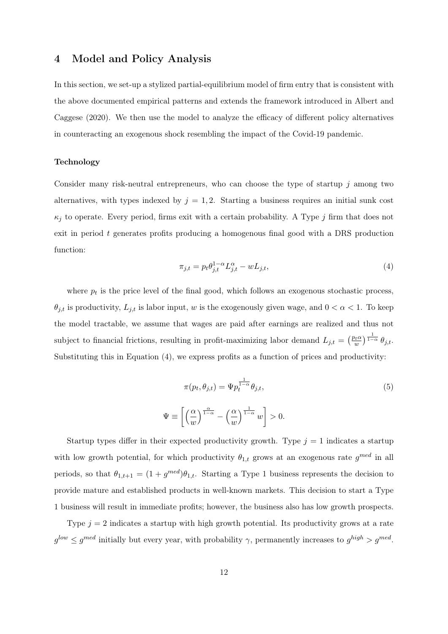## 4 Model and Policy Analysis

In this section, we set-up a stylized partial-equilibrium model of firm entry that is consistent with the above documented empirical patterns and extends the framework introduced in Albert and Caggese (2020). We then use the model to analyze the efficacy of different policy alternatives in counteracting an exogenous shock resembling the impact of the Covid-19 pandemic.

#### Technology

Consider many risk-neutral entrepreneurs, who can choose the type of startup  $j$  among two alternatives, with types indexed by  $j = 1, 2$ . Starting a business requires an initial sunk cost  $\kappa_j$  to operate. Every period, firms exit with a certain probability. A Type j firm that does not exit in period t generates profits producing a homogenous final good with a DRS production function:

$$
\pi_{j,t} = p_t \theta_{j,t}^{1-\alpha} L_{j,t}^{\alpha} - w L_{j,t},
$$
\n(4)

where  $p_t$  is the price level of the final good, which follows an exogenous stochastic process,  $\theta_{j,t}$  is productivity,  $L_{j,t}$  is labor input, w is the exogenously given wage, and  $0 < \alpha < 1$ . To keep the model tractable, we assume that wages are paid after earnings are realized and thus not subject to financial frictions, resulting in profit-maximizing labor demand  $L_{j,t} = \left(\frac{p_t \alpha}{w}\right)^{j}$  $\frac{\partial_t \alpha}{\partial w}\Big)^\frac{1}{1-\alpha}\, \theta_{j,t}.$ Substituting this in Equation (4), we express profits as a function of prices and productivity:

$$
\pi(p_t, \theta_{j,t}) = \Psi p_t^{\frac{1}{1-\alpha}} \theta_{j,t},
$$
\n
$$
\Psi \equiv \left[ \left( \frac{\alpha}{w} \right)^{\frac{\alpha}{1-\alpha}} - \left( \frac{\alpha}{w} \right)^{\frac{1}{1-\alpha}} w \right] > 0.
$$
\n(5)

Startup types differ in their expected productivity growth. Type  $j = 1$  indicates a startup with low growth potential, for which productivity  $\theta_{1,t}$  grows at an exogenous rate  $g^{med}$  in all periods, so that  $\theta_{1,t+1} = (1 + g^{med})\theta_{1,t}$ . Starting a Type 1 business represents the decision to provide mature and established products in well-known markets. This decision to start a Type 1 business will result in immediate profits; however, the business also has low growth prospects.

Type  $j = 2$  indicates a startup with high growth potential. Its productivity grows at a rate  $g^{low} \leq g^{med}$  initially but every year, with probability  $\gamma$ , permanently increases to  $g^{high} > g^{med}$ .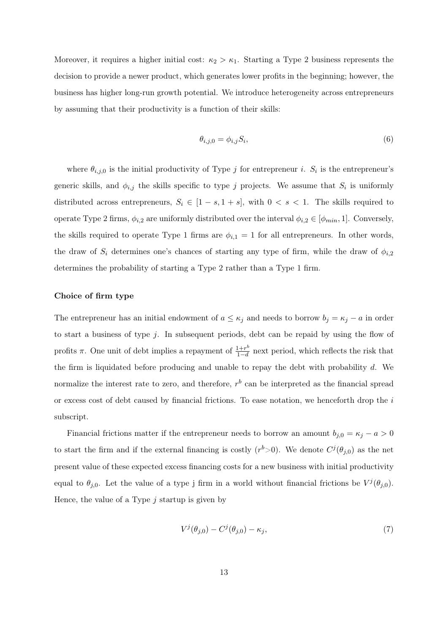Moreover, it requires a higher initial cost:  $\kappa_2 > \kappa_1$ . Starting a Type 2 business represents the decision to provide a newer product, which generates lower profits in the beginning; however, the business has higher long-run growth potential. We introduce heterogeneity across entrepreneurs by assuming that their productivity is a function of their skills:

$$
\theta_{i,j,0} = \phi_{i,j} S_i,\tag{6}
$$

where  $\theta_{i,j,0}$  is the initial productivity of Type j for entrepreneur i.  $S_i$  is the entrepreneur's generic skills, and  $\phi_{i,j}$  the skills specific to type j projects. We assume that  $S_i$  is uniformly distributed across entrepreneurs,  $S_i \in [1-s, 1+s]$ , with  $0 < s < 1$ . The skills required to operate Type 2 firms,  $\phi_{i,2}$  are uniformly distributed over the interval  $\phi_{i,2} \in [\phi_{min}, 1]$ . Conversely, the skills required to operate Type 1 firms are  $\phi_{i,1} = 1$  for all entrepreneurs. In other words, the draw of  $S_i$  determines one's chances of starting any type of firm, while the draw of  $\phi_{i,2}$ determines the probability of starting a Type 2 rather than a Type 1 firm.

#### Choice of firm type

The entrepreneur has an initial endowment of  $a \leq \kappa_j$  and needs to borrow  $b_j = \kappa_j - a$  in order to start a business of type j. In subsequent periods, debt can be repaid by using the flow of profits  $\pi$ . One unit of debt implies a repayment of  $\frac{1+r^b}{1-d}$  $\frac{1+r^{\sigma}}{1-d}$  next period, which reflects the risk that the firm is liquidated before producing and unable to repay the debt with probability  $d$ . We normalize the interest rate to zero, and therefore,  $r<sup>b</sup>$  can be interpreted as the financial spread or excess cost of debt caused by financial frictions. To ease notation, we henceforth drop the  $i$ subscript.

Financial frictions matter if the entrepreneur needs to borrow an amount  $b_{j,0} = \kappa_j - a > 0$ to start the firm and if the external financing is costly  $(r^{b}>0)$ . We denote  $C^{j}(\theta_{j,0})$  as the net present value of these expected excess financing costs for a new business with initial productivity equal to  $\theta_{j,0}$ . Let the value of a type j firm in a world without financial frictions be  $V^{j}(\theta_{j,0})$ . Hence, the value of a Type  $j$  startup is given by

$$
V^j(\theta_{j,0}) - C^j(\theta_{j,0}) - \kappa_j,\tag{7}
$$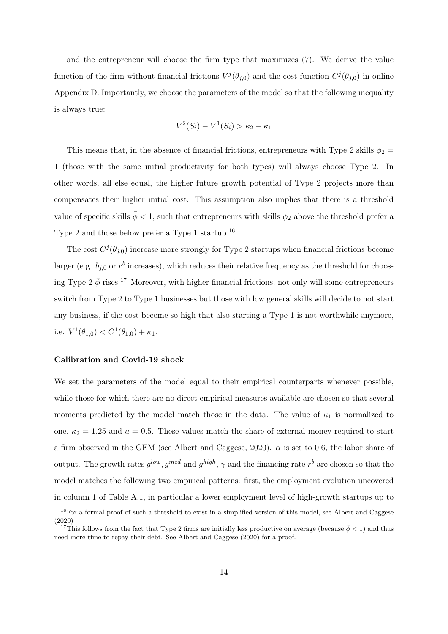and the entrepreneur will choose the firm type that maximizes (7). We derive the value function of the firm without financial frictions  $V^j(\theta_{j,0})$  and the cost function  $C^j(\theta_{j,0})$  in online Appendix D. Importantly, we choose the parameters of the model so that the following inequality is always true:

$$
V^{2}(S_{i}) - V^{1}(S_{i}) > \kappa_{2} - \kappa_{1}
$$

This means that, in the absence of financial frictions, entrepreneurs with Type 2 skills  $\phi_2 =$ 1 (those with the same initial productivity for both types) will always choose Type 2. In other words, all else equal, the higher future growth potential of Type 2 projects more than compensates their higher initial cost. This assumption also implies that there is a threshold value of specific skills  $\bar{\phi}$  < 1, such that entrepreneurs with skills  $\phi_2$  above the threshold prefer a Type 2 and those below prefer a Type 1 startup.<sup>16</sup>

The cost  $C^{j}(\theta_{j,0})$  increase more strongly for Type 2 startups when financial frictions become larger (e.g.  $b_{j,0}$  or  $r^b$  increases), which reduces their relative frequency as the threshold for choosing Type  $2 \bar{\phi}$  rises.<sup>17</sup> Moreover, with higher financial frictions, not only will some entrepreneurs switch from Type 2 to Type 1 businesses but those with low general skills will decide to not start any business, if the cost become so high that also starting a Type 1 is not worthwhile anymore, i.e.  $V^1(\theta_{1,0}) < C^1(\theta_{1,0}) + \kappa_1$ .

#### Calibration and Covid-19 shock

We set the parameters of the model equal to their empirical counterparts whenever possible, while those for which there are no direct empirical measures available are chosen so that several moments predicted by the model match those in the data. The value of  $\kappa_1$  is normalized to one,  $\kappa_2 = 1.25$  and  $a = 0.5$ . These values match the share of external money required to start a firm observed in the GEM (see Albert and Caggese, 2020).  $\alpha$  is set to 0.6, the labor share of output. The growth rates  $g^{low}$ ,  $g^{med}$  and  $g^{high}$ ,  $\gamma$  and the financing rate  $r^b$  are chosen so that the model matches the following two empirical patterns: first, the employment evolution uncovered in column 1 of Table A.1, in particular a lower employment level of high-growth startups up to

<sup>&</sup>lt;sup>16</sup>For a formal proof of such a threshold to exist in a simplified version of this model, see Albert and Caggese (2020)

<sup>&</sup>lt;sup>17</sup>This follows from the fact that Type 2 firms are initially less productive on average (because  $\bar{\phi}$  < 1) and thus need more time to repay their debt. See Albert and Caggese (2020) for a proof.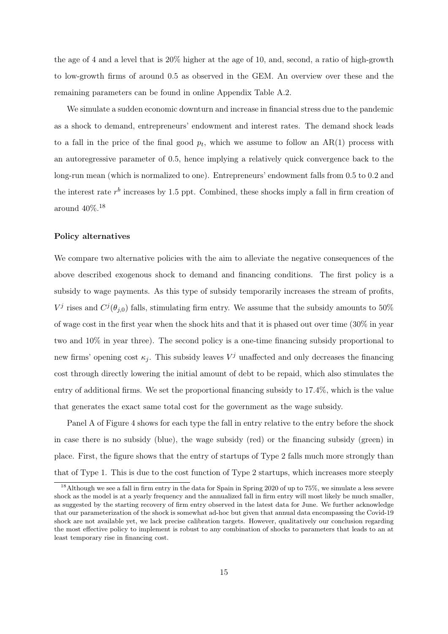the age of 4 and a level that is 20% higher at the age of 10, and, second, a ratio of high-growth to low-growth firms of around 0.5 as observed in the GEM. An overview over these and the remaining parameters can be found in online Appendix Table A.2.

We simulate a sudden economic downturn and increase in financial stress due to the pandemic as a shock to demand, entrepreneurs' endowment and interest rates. The demand shock leads to a fall in the price of the final good  $p_t$ , which we assume to follow an AR(1) process with an autoregressive parameter of 0.5, hence implying a relatively quick convergence back to the long-run mean (which is normalized to one). Entrepreneurs' endowment falls from 0.5 to 0.2 and the interest rate  $r<sup>b</sup>$  increases by 1.5 ppt. Combined, these shocks imply a fall in firm creation of around  $40\%$ .<sup>18</sup>

#### Policy alternatives

We compare two alternative policies with the aim to alleviate the negative consequences of the above described exogenous shock to demand and financing conditions. The first policy is a subsidy to wage payments. As this type of subsidy temporarily increases the stream of profits,  $V^j$  rises and  $C^j(\theta_{j,0})$  falls, stimulating firm entry. We assume that the subsidy amounts to 50% of wage cost in the first year when the shock hits and that it is phased out over time (30% in year two and 10% in year three). The second policy is a one-time financing subsidy proportional to new firms' opening cost  $\kappa_j$ . This subsidy leaves  $V^j$  unaffected and only decreases the financing cost through directly lowering the initial amount of debt to be repaid, which also stimulates the entry of additional firms. We set the proportional financing subsidy to 17.4%, which is the value that generates the exact same total cost for the government as the wage subsidy.

Panel A of Figure 4 shows for each type the fall in entry relative to the entry before the shock in case there is no subsidy (blue), the wage subsidy (red) or the financing subsidy (green) in place. First, the figure shows that the entry of startups of Type 2 falls much more strongly than that of Type 1. This is due to the cost function of Type 2 startups, which increases more steeply

<sup>&</sup>lt;sup>18</sup>Although we see a fall in firm entry in the data for Spain in Spring 2020 of up to  $75\%$ , we simulate a less severe shock as the model is at a yearly frequency and the annualized fall in firm entry will most likely be much smaller, as suggested by the starting recovery of firm entry observed in the latest data for June. We further acknowledge that our parameterization of the shock is somewhat ad-hoc but given that annual data encompassing the Covid-19 shock are not available yet, we lack precise calibration targets. However, qualitatively our conclusion regarding the most effective policy to implement is robust to any combination of shocks to parameters that leads to an at least temporary rise in financing cost.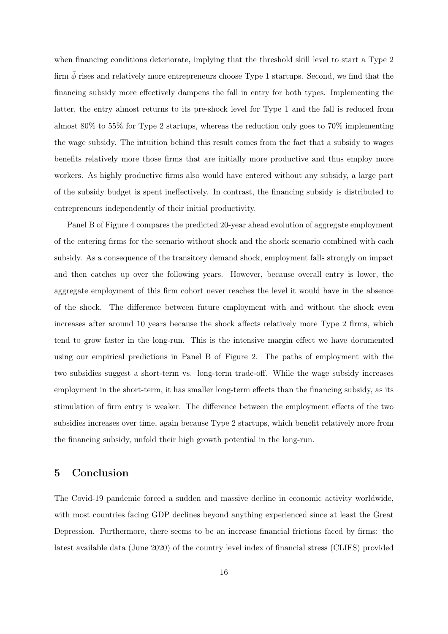when financing conditions deteriorate, implying that the threshold skill level to start a Type 2 firm  $\phi$  rises and relatively more entrepreneurs choose Type 1 startups. Second, we find that the financing subsidy more effectively dampens the fall in entry for both types. Implementing the latter, the entry almost returns to its pre-shock level for Type 1 and the fall is reduced from almost 80% to 55% for Type 2 startups, whereas the reduction only goes to 70% implementing the wage subsidy. The intuition behind this result comes from the fact that a subsidy to wages benefits relatively more those firms that are initially more productive and thus employ more workers. As highly productive firms also would have entered without any subsidy, a large part of the subsidy budget is spent ineffectively. In contrast, the financing subsidy is distributed to entrepreneurs independently of their initial productivity.

Panel B of Figure 4 compares the predicted 20-year ahead evolution of aggregate employment of the entering firms for the scenario without shock and the shock scenario combined with each subsidy. As a consequence of the transitory demand shock, employment falls strongly on impact and then catches up over the following years. However, because overall entry is lower, the aggregate employment of this firm cohort never reaches the level it would have in the absence of the shock. The difference between future employment with and without the shock even increases after around 10 years because the shock affects relatively more Type 2 firms, which tend to grow faster in the long-run. This is the intensive margin effect we have documented using our empirical predictions in Panel B of Figure 2. The paths of employment with the two subsidies suggest a short-term vs. long-term trade-off. While the wage subsidy increases employment in the short-term, it has smaller long-term effects than the financing subsidy, as its stimulation of firm entry is weaker. The difference between the employment effects of the two subsidies increases over time, again because Type 2 startups, which benefit relatively more from the financing subsidy, unfold their high growth potential in the long-run.

## 5 Conclusion

The Covid-19 pandemic forced a sudden and massive decline in economic activity worldwide, with most countries facing GDP declines beyond anything experienced since at least the Great Depression. Furthermore, there seems to be an increase financial frictions faced by firms: the latest available data (June 2020) of the country level index of financial stress (CLIFS) provided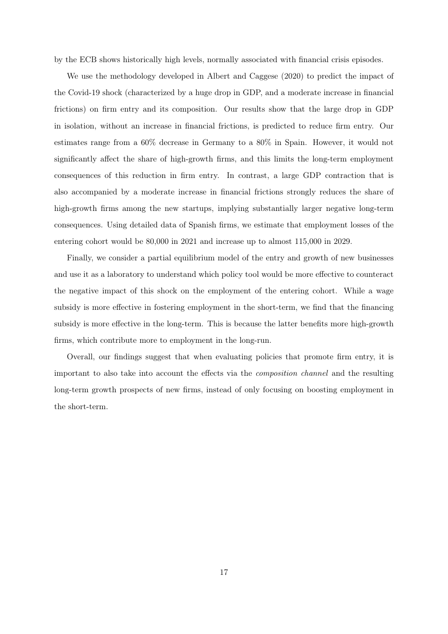by the ECB shows historically high levels, normally associated with financial crisis episodes.

We use the methodology developed in Albert and Caggese (2020) to predict the impact of the Covid-19 shock (characterized by a huge drop in GDP, and a moderate increase in financial frictions) on firm entry and its composition. Our results show that the large drop in GDP in isolation, without an increase in financial frictions, is predicted to reduce firm entry. Our estimates range from a 60% decrease in Germany to a 80% in Spain. However, it would not significantly affect the share of high-growth firms, and this limits the long-term employment consequences of this reduction in firm entry. In contrast, a large GDP contraction that is also accompanied by a moderate increase in financial frictions strongly reduces the share of high-growth firms among the new startups, implying substantially larger negative long-term consequences. Using detailed data of Spanish firms, we estimate that employment losses of the entering cohort would be 80,000 in 2021 and increase up to almost 115,000 in 2029.

Finally, we consider a partial equilibrium model of the entry and growth of new businesses and use it as a laboratory to understand which policy tool would be more effective to counteract the negative impact of this shock on the employment of the entering cohort. While a wage subsidy is more effective in fostering employment in the short-term, we find that the financing subsidy is more effective in the long-term. This is because the latter benefits more high-growth firms, which contribute more to employment in the long-run.

Overall, our findings suggest that when evaluating policies that promote firm entry, it is important to also take into account the effects via the composition channel and the resulting long-term growth prospects of new firms, instead of only focusing on boosting employment in the short-term.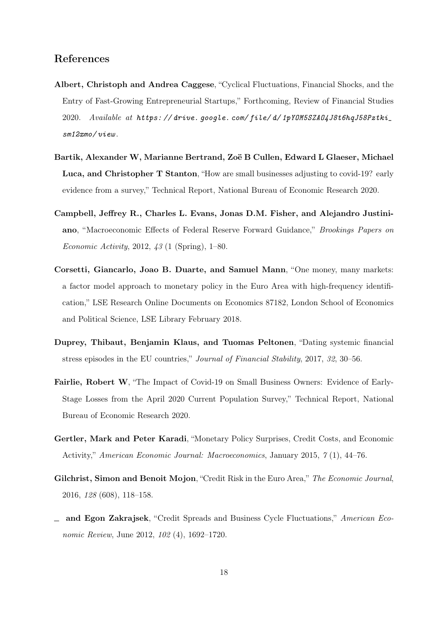## References

- Albert, Christoph and Andrea Caggese, "Cyclical Fluctuations, Financial Shocks, and the Entry of Fast-Growing Entrepreneurial Startups," Forthcoming, Review of Financial Studies 2020. Available at https://drive.google.com/file/d/1pY0M5SZA04J8t6hqJ58Pztki\_ sm12xmo/ view .
- Bartik, Alexander W, Marianne Bertrand, Zoë B Cullen, Edward L Glaeser, Michael Luca, and Christopher T Stanton, "How are small businesses adjusting to covid-19? early evidence from a survey," Technical Report, National Bureau of Economic Research 2020.
- Campbell, Jeffrey R., Charles L. Evans, Jonas D.M. Fisher, and Alejandro Justiniano, "Macroeconomic Effects of Federal Reserve Forward Guidance," Brookings Papers on Economic Activity, 2012, 43 (1 (Spring), 1–80.
- Corsetti, Giancarlo, Joao B. Duarte, and Samuel Mann, "One money, many markets: a factor model approach to monetary policy in the Euro Area with high-frequency identification," LSE Research Online Documents on Economics 87182, London School of Economics and Political Science, LSE Library February 2018.
- Duprey, Thibaut, Benjamin Klaus, and Tuomas Peltonen, "Dating systemic financial stress episodes in the EU countries," Journal of Financial Stability, 2017, 32, 30–56.
- Fairlie, Robert W, "The Impact of Covid-19 on Small Business Owners: Evidence of Early-Stage Losses from the April 2020 Current Population Survey," Technical Report, National Bureau of Economic Research 2020.
- Gertler, Mark and Peter Karadi, "Monetary Policy Surprises, Credit Costs, and Economic Activity," American Economic Journal: Macroeconomics, January 2015, 7 (1), 44–76.
- Gilchrist, Simon and Benoit Mojon, "Credit Risk in the Euro Area," The Economic Journal, 2016, 128 (608), 118–158.
- and Egon Zakrajsek, "Credit Spreads and Business Cycle Fluctuations," American Economic Review, June 2012, 102 (4), 1692–1720.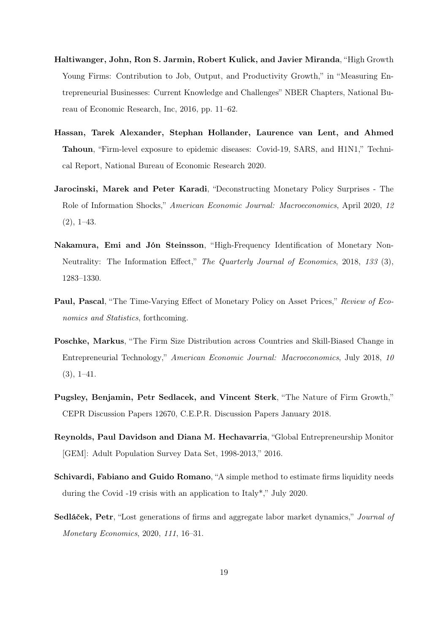- Haltiwanger, John, Ron S. Jarmin, Robert Kulick, and Javier Miranda, "High Growth Young Firms: Contribution to Job, Output, and Productivity Growth," in "Measuring Entrepreneurial Businesses: Current Knowledge and Challenges" NBER Chapters, National Bureau of Economic Research, Inc, 2016, pp. 11–62.
- Hassan, Tarek Alexander, Stephan Hollander, Laurence van Lent, and Ahmed Tahoun, "Firm-level exposure to epidemic diseases: Covid-19, SARS, and H1N1," Technical Report, National Bureau of Economic Research 2020.
- Jarocinski, Marek and Peter Karadi, "Deconstructing Monetary Policy Surprises The Role of Information Shocks," American Economic Journal: Macroeconomics, April 2020, 12  $(2), 1-43.$
- Nakamura, Emi and Jón Steinsson, "High-Frequency Identification of Monetary Non-Neutrality: The Information Effect," The Quarterly Journal of Economics, 2018, 133 (3), 1283–1330.
- Paul, Pascal, "The Time-Varying Effect of Monetary Policy on Asset Prices," Review of Economics and *Statistics*, forthcoming.
- Poschke, Markus, "The Firm Size Distribution across Countries and Skill-Biased Change in Entrepreneurial Technology," American Economic Journal: Macroeconomics, July 2018, 10  $(3), 1-41.$
- Pugsley, Benjamin, Petr Sedlacek, and Vincent Sterk, "The Nature of Firm Growth," CEPR Discussion Papers 12670, C.E.P.R. Discussion Papers January 2018.
- Reynolds, Paul Davidson and Diana M. Hechavarria, "Global Entrepreneurship Monitor [GEM]: Adult Population Survey Data Set, 1998-2013," 2016.
- Schivardi, Fabiano and Guido Romano, "A simple method to estimate firms liquidity needs during the Covid -19 crisis with an application to Italy\*," July 2020.
- Sedláček, Petr, "Lost generations of firms and aggregate labor market dynamics," Journal of Monetary Economics, 2020, 111, 16–31.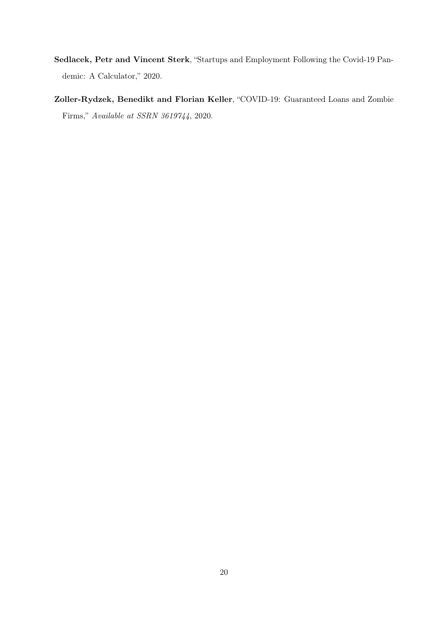- Sedlacek, Petr and Vincent Sterk, "Startups and Employment Following the Covid-19 Pandemic: A Calculator," 2020.
- Zoller-Rydzek, Benedikt and Florian Keller, "COVID-19: Guaranteed Loans and Zombie Firms," Available at SSRN 3619744, 2020.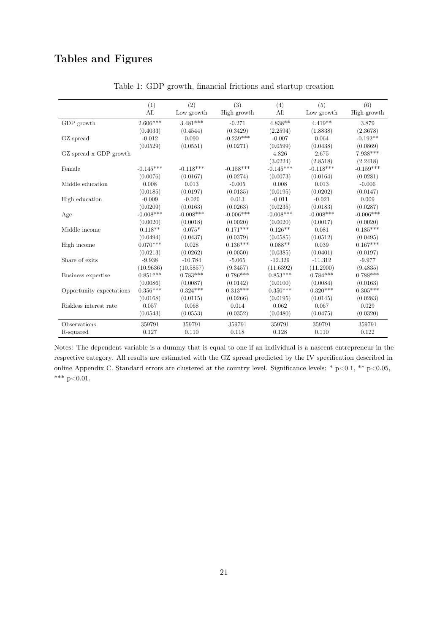# Tables and Figures

|                          | (1)         | (2)         | (3)         | (4)         | (5)         | (6)         |
|--------------------------|-------------|-------------|-------------|-------------|-------------|-------------|
|                          | All         | Low growth  | High growth | All         | Low growth  | High growth |
| GDP growth               | 2.606***    | $3.481***$  | $-0.271$    | $4.838**$   | $4.419**$   | 3.879       |
|                          | (0.4033)    | (0.4544)    | (0.3429)    | (2.2594)    | (1.8838)    | (2.3678)    |
| GZ spread                | $-0.012$    | 0.090       | $-0.239***$ | $-0.007$    | 0.064       | $-0.192**$  |
|                          | (0.0529)    | (0.0551)    | (0.0271)    | (0.0599)    | (0.0438)    | (0.0869)    |
| GZ spread x GDP growth   |             |             |             | 4.826       | 2.675       | 7.938***    |
|                          |             |             |             | (3.0224)    | (2.8518)    | (2.2418)    |
| Female                   | $-0.145***$ | $-0.118***$ | $-0.158***$ | $-0.145***$ | $-0.118***$ | $-0.159***$ |
|                          | (0.0076)    | (0.0167)    | (0.0274)    | (0.0073)    | (0.0164)    | (0.0281)    |
| Middle education         | 0.008       | 0.013       | $-0.005$    | 0.008       | 0.013       | $-0.006$    |
|                          | (0.0185)    | (0.0197)    | (0.0135)    | (0.0195)    | (0.0202)    | (0.0147)    |
| High education           | $-0.009$    | $-0.020$    | 0.013       | $-0.011$    | $-0.021$    | 0.009       |
|                          | (0.0209)    | (0.0163)    | (0.0263)    | (0.0235)    | (0.0183)    | (0.0287)    |
| Age                      | $-0.008***$ | $-0.008***$ | $-0.006***$ | $-0.008***$ | $-0.008***$ | $-0.006***$ |
|                          | (0.0020)    | (0.0018)    | (0.0020)    | (0.0020)    | (0.0017)    | (0.0020)    |
| Middle income            | $0.118**$   | $0.075*$    | $0.171***$  | $0.126**$   | 0.081       | $0.185***$  |
|                          | (0.0494)    | (0.0437)    | (0.0379)    | (0.0585)    | (0.0512)    | (0.0495)    |
| High income              | $0.070***$  | 0.028       | $0.136***$  | $0.088**$   | 0.039       | $0.167***$  |
|                          | (0.0213)    | (0.0262)    | (0.0050)    | (0.0385)    | (0.0401)    | (0.0197)    |
| Share of exits           | $-9.938$    | $-10.784$   | $-5.065$    | $-12.329$   | $-11.312$   | $-9.977$    |
|                          | (10.9636)   | (10.5857)   | (9.3457)    | (11.6392)   | (11.2900)   | (9.4835)    |
| Business expertise       | $0.851***$  | $0.783***$  | $0.786***$  | $0.853***$  | $0.784***$  | $0.788***$  |
|                          | (0.0086)    | (0.0087)    | (0.0142)    | (0.0100)    | (0.0084)    | (0.0163)    |
| Opportunity expectations | $0.356***$  | $0.324***$  | $0.313***$  | $0.350***$  | $0.320***$  | $0.305***$  |
|                          | (0.0168)    | (0.0115)    | (0.0266)    | (0.0195)    | (0.0145)    | (0.0283)    |
| Riskless interest rate   | 0.057       | 0.068       | 0.014       | 0.062       | 0.067       | 0.029       |
|                          | (0.0543)    | (0.0553)    | (0.0352)    | (0.0480)    | (0.0475)    | (0.0320)    |
| Observations             | 359791      | 359791      | 359791      | 359791      | 359791      | 359791      |
| R-squared                | 0.127       | 0.110       | 0.118       | 0.128       | 0.110       | 0.122       |

Table 1: GDP growth, financial frictions and startup creation

Notes: The dependent variable is a dummy that is equal to one if an individual is a nascent entrepreneur in the respective category. All results are estimated with the GZ spread predicted by the IV specification described in online Appendix C. Standard errors are clustered at the country level. Significance levels: \*  $p<0.1$ , \*\*  $p<0.05$ , \*\*\*  $p<0.01$ .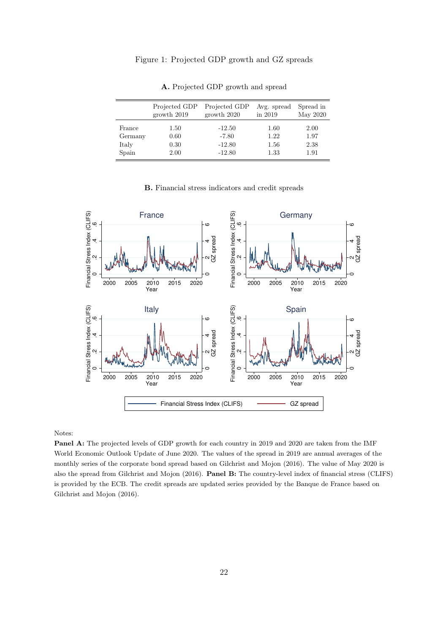#### Figure 1: Projected GDP growth and GZ spreads

|         | Projected GDP | Projected GDP | Avg. spread | Spread in |
|---------|---------------|---------------|-------------|-----------|
|         | growth 2019   | growth 2020   | in 2019     | May 2020  |
| France  | 1.50          | $-12.50$      | 1.60        | 2.00      |
| Germany | 0.60          | $-7.80$       | 1.22        | 1.97      |
| Italy   | 0.30          | $-12.80$      | 1.56        | 2.38      |
| Spain   | 2.00          | $-12.80$      | 1.33        | 1.91      |

A. Projected GDP growth and spread

#### B. Financial stress indicators and credit spreads



Notes:

Panel A: The projected levels of GDP growth for each country in 2019 and 2020 are taken from the IMF World Economic Outlook Update of June 2020. The values of the spread in 2019 are annual averages of the monthly series of the corporate bond spread based on Gilchrist and Mojon (2016). The value of May 2020 is also the spread from Gilchrist and Mojon (2016). Panel B: The country-level index of financial stress (CLIFS) is provided by the ECB. The credit spreads are updated series provided by the Banque de France based on Gilchrist and Mojon (2016).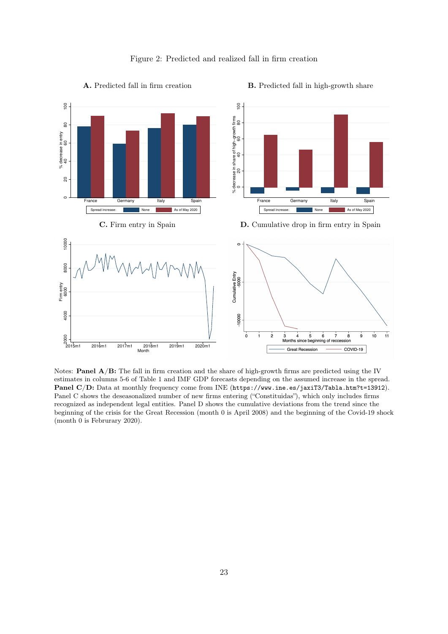



A. Predicted fall in firm creation

#### B. Predicted fall in high-growth share

Notes: **Panel**  $A/B$ **:** The fall in firm creation and the share of high-growth firms are predicted using the IV estimates in columns 5-6 of Table 1 and IMF GDP forecasts depending on the assumed increase in the spread. Panel C/D: Data at monthly frequency come from INE (https://www.ine.es/jaxiT3/Tabla.htm?t=13912). Panel C shows the deseasonalized number of new firms entering ("Constituidas"), which only includes firms recognized as independent legal entities. Panel D shows the cumulative deviations from the trend since the beginning of the crisis for the Great Recession (month 0 is April 2008) and the beginning of the Covid-19 shock (month 0 is Februrary 2020).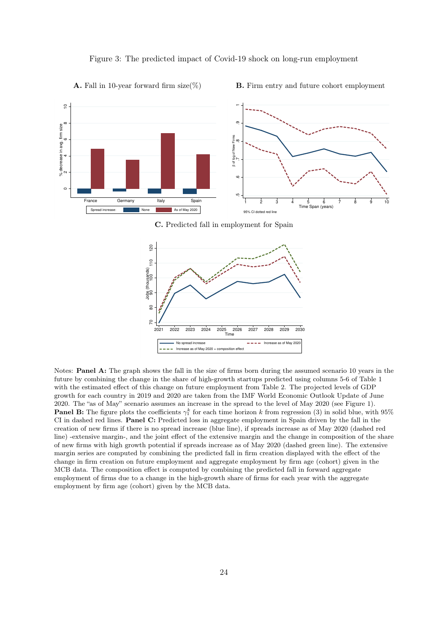

#### Figure 3: The predicted impact of Covid-19 shock on long-run employment

B. Firm entry and future cohort employment

**A.** Fall in 10-year forward firm size(%)

C. Predicted fall in employment for Spain



Notes: Panel A: The graph shows the fall in the size of firms born during the assumed scenario 10 years in the future by combining the change in the share of high-growth startups predicted using columns 5-6 of Table 1 with the estimated effect of this change on future employment from Table 2. The projected levels of GDP growth for each country in 2019 and 2020 are taken from the IMF World Economic Outlook Update of June 2020. The "as of May" scenario assumes an increase in the spread to the level of May 2020 (see Figure 1). **Panel B:** The figure plots the coefficients  $\gamma_1^k$  for each time horizon k from regression (3) in solid blue, with 95% CI in dashed red lines. Panel C: Predicted loss in aggregate employment in Spain driven by the fall in the creation of new firms if there is no spread increase (blue line), if spreads increase as of May 2020 (dashed red line) -extensive margin-, and the joint effect of the extensive margin and the change in composition of the share of new firms with high growth potential if spreads increase as of May 2020 (dashed green line). The extensive margin series are computed by combining the predicted fall in firm creation displayed with the effect of the change in firm creation on future employment and aggregate employment by firm age (cohort) given in the MCB data. The composition effect is computed by combining the predicted fall in forward aggregate employment of firms due to a change in the high-growth share of firms for each year with the aggregate employment by firm age (cohort) given by the MCB data.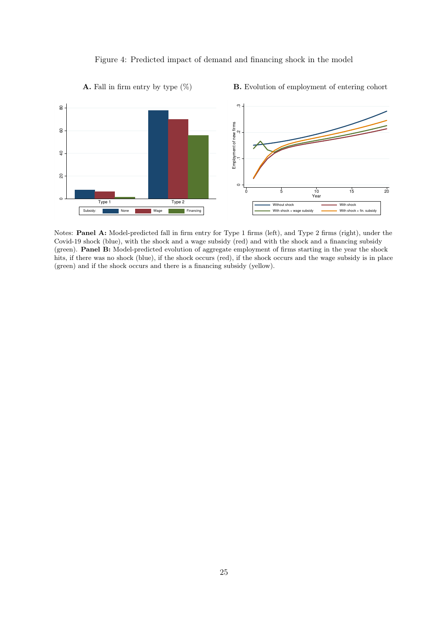#### Figure 4: Predicted impact of demand and financing shock in the model



Notes: Panel A: Model-predicted fall in firm entry for Type 1 firms (left), and Type 2 firms (right), under the Covid-19 shock (blue), with the shock and a wage subsidy (red) and with the shock and a financing subsidy (green). Panel B: Model-predicted evolution of aggregate employment of firms starting in the year the shock hits, if there was no shock (blue), if the shock occurs (red), if the shock occurs and the wage subsidy is in place (green) and if the shock occurs and there is a financing subsidy (yellow).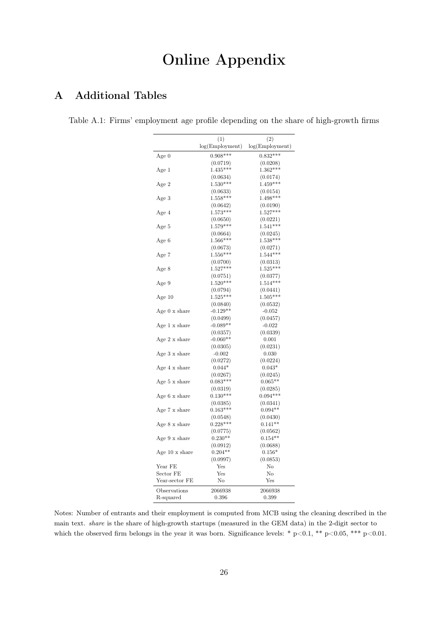# Online Appendix

# A Additional Tables

Table A.1: Firms' employment age profile depending on the share of high-growth firms

|                              | (1)             | (2)             |  |  |
|------------------------------|-----------------|-----------------|--|--|
|                              | log(Employment) | log(Employment) |  |  |
| Age 0                        | $0.908***$      | $0.832***$      |  |  |
|                              | (0.0719)        | (0.0208)        |  |  |
| Age 1                        | $1.435***$      | $1.362***$      |  |  |
|                              | (0.0634)        | (0.0174)        |  |  |
| Age 2                        | $1.530***$      | $1.459***$      |  |  |
|                              | (0.0633)        | (0.0154)        |  |  |
| Age 3                        | $1.558***$      | $1.498***$      |  |  |
|                              | (0.0642)        | (0.0190)        |  |  |
| Age 4                        | $1.573***$      | $1.527***$      |  |  |
|                              | (0.0650)        | (0.0221)        |  |  |
| Age 5                        | $1.579***$      | $1.541***$      |  |  |
|                              | (0.0664)        | (0.0245)        |  |  |
| Age 6                        | $1.566***$      | $1.538***$      |  |  |
|                              | (0.0673)        | (0.0271)        |  |  |
| Age 7                        | $1.556***$      | $1.544***$      |  |  |
|                              | (0.0700)        | (0.0313)        |  |  |
| Age 8                        | $1.527***$      | $1.525***$      |  |  |
|                              | (0.0751)        | (0.0377)        |  |  |
| Age 9                        | $1.520***$      | $1.514***$      |  |  |
|                              | (0.0794)        | (0.0441)        |  |  |
| Age 10                       | $1.525***$      | $1.505***$      |  |  |
|                              | (0.0840)        | (0.0532)        |  |  |
| Age $0 \times$ share         | $-0.129**$      | $-0.052$        |  |  |
|                              | (0.0499)        | (0.0457)        |  |  |
| Age 1 x share                | $-0.089**$      | $-0.022$        |  |  |
|                              | (0.0357)        | (0.0339)        |  |  |
| Age $2 \times$ share         | $-0.060**$      | 0.001           |  |  |
|                              | (0.0305)        | (0.0231)        |  |  |
| Age 3 x share                | $-0.002$        | 0.030           |  |  |
|                              |                 |                 |  |  |
|                              | (0.0272)        | (0.0224)        |  |  |
| Age 4 x share                | $0.044*$        | $0.043*$        |  |  |
|                              | (0.0267)        | (0.0245)        |  |  |
| Age $5 \times \text{share}$  | $0.083***$      | $0.065**$       |  |  |
|                              | (0.0319)        | (0.0285)        |  |  |
| Age 6 x share                | $0.130***$      | $0.094***$      |  |  |
|                              | (0.0385)        | (0.0341)        |  |  |
| Age 7 x share                | $0.163***$      | $0.094**$       |  |  |
|                              | (0.0548)        | (0.0430)        |  |  |
| Age $8 \times \text{share}$  | $0.228***$      | $0.141**$       |  |  |
|                              | (0.0775)        | (0.0562)        |  |  |
| Age 9 x share                | $0.230**$       | $0.154**$       |  |  |
|                              | (0.0912)        | (0.0688)        |  |  |
| Age $10 \times \text{share}$ | $0.204**$       | $0.156*$        |  |  |
|                              | (0.0997)        | (0.0853)        |  |  |
| Year FE                      | Yes             | No              |  |  |
| Sector FE                    | $_{\rm Yes}$    | No              |  |  |
| Year-sector FE               | No              | Yes             |  |  |
| Observations                 | 2066938         | 2066938         |  |  |
| R-squared                    | 0.396           | 0.399           |  |  |
|                              |                 |                 |  |  |

Notes: Number of entrants and their employment is computed from MCB using the cleaning described in the main text. share is the share of high-growth startups (measured in the GEM data) in the 2-digit sector to which the observed firm belongs in the year it was born. Significance levels: \* p<0.1, \*\* p<0.05, \*\*\* p<0.01.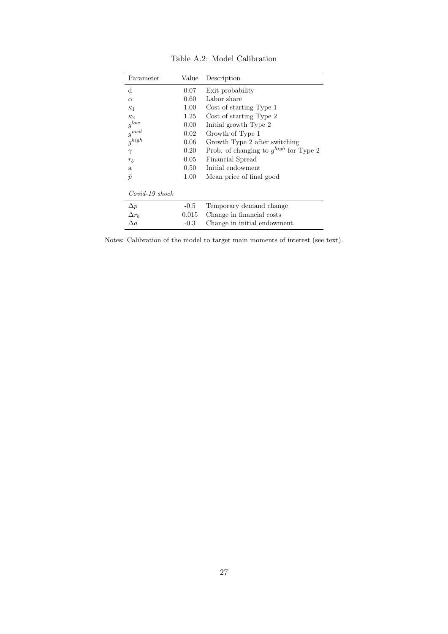| Parameter        | Value    | Description                                |
|------------------|----------|--------------------------------------------|
| <sub>d</sub>     | 0.07     | Exit probability                           |
| $\alpha$         | 0.60     | Labor share                                |
| $\kappa_1$       | $1.00\,$ | Cost of starting Type 1                    |
| $\kappa$ 2       | 1.25     | Cost of starting Type 2                    |
| $g^{low}$        | $0.00\,$ | Initial growth Type 2                      |
| $g^{med}$        | 0.02     | Growth of Type 1                           |
| $g^{high}$       | 0.06     | Growth Type 2 after switching              |
| $\gamma$         | 0.20     | Prob. of changing to $g^{high}$ for Type 2 |
| $r_b$            | 0.05     | Financial Spread                           |
| a.               | 0.50     | Initial endowment                          |
| $\bar{p}$        | 1.00     | Mean price of final good                   |
| $Covid-19$ shock |          |                                            |
| $\Delta p$       | $-0.5$   | Temporary demand change                    |
| $\Delta r_h$     | 0.015    | Change in financial costs                  |
| $\Delta a$       | $-0.3$   | Change in initial endowment.               |

Table A.2: Model Calibration

Notes: Calibration of the model to target main moments of interest (see text).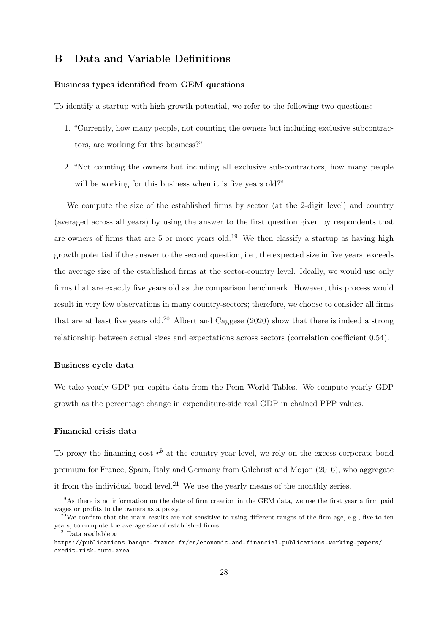### B Data and Variable Definitions

#### Business types identified from GEM questions

To identify a startup with high growth potential, we refer to the following two questions:

- 1. "Currently, how many people, not counting the owners but including exclusive subcontractors, are working for this business?"
- 2. "Not counting the owners but including all exclusive sub-contractors, how many people will be working for this business when it is five years old?"

We compute the size of the established firms by sector (at the 2-digit level) and country (averaged across all years) by using the answer to the first question given by respondents that are owners of firms that are 5 or more years old.<sup>19</sup> We then classify a startup as having high growth potential if the answer to the second question, i.e., the expected size in five years, exceeds the average size of the established firms at the sector-country level. Ideally, we would use only firms that are exactly five years old as the comparison benchmark. However, this process would result in very few observations in many country-sectors; therefore, we choose to consider all firms that are at least five years old.<sup>20</sup> Albert and Caggese  $(2020)$  show that there is indeed a strong relationship between actual sizes and expectations across sectors (correlation coefficient 0.54).

#### Business cycle data

We take yearly GDP per capita data from the Penn World Tables. We compute yearly GDP growth as the percentage change in expenditure-side real GDP in chained PPP values.

#### Financial crisis data

To proxy the financing cost  $r<sup>b</sup>$  at the country-year level, we rely on the excess corporate bond premium for France, Spain, Italy and Germany from Gilchrist and Mojon (2016), who aggregate it from the individual bond level.<sup>21</sup> We use the yearly means of the monthly series.

<sup>19</sup>As there is no information on the date of firm creation in the GEM data, we use the first year a firm paid wages or profits to the owners as a proxy.

<sup>&</sup>lt;sup>20</sup>We confirm that the main results are not sensitive to using different ranges of the firm age, e.g., five to ten years, to compute the average size of established firms.

<sup>21</sup>Data available at

https://publications.banque-france.fr/en/economic-and-financial-publications-working-papers/ credit-risk-euro-area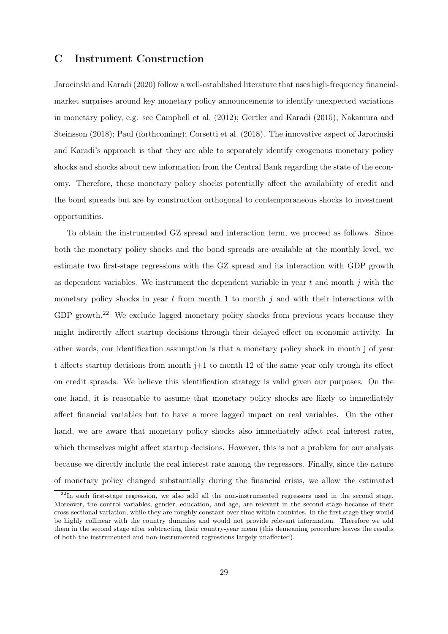# C Instrument Construction

Jarocinski and Karadi (2020) follow a well-established literature that uses high-frequency financialmarket surprises around key monetary policy announcements to identify unexpected variations in monetary policy, e.g. see Campbell et al. (2012); Gertler and Karadi (2015); Nakamura and Steinsson (2018); Paul (forthcoming); Corsetti et al. (2018). The innovative aspect of Jarocinski and Karadi's approach is that they are able to separately identify exogenous monetary policy shocks and shocks about new information from the Central Bank regarding the state of the economy. Therefore, these monetary policy shocks potentially affect the availability of credit and the bond spreads but are by construction orthogonal to contemporaneous shocks to investment opportunities.

To obtain the instrumented GZ spread and interaction term, we proceed as follows. Since both the monetary policy shocks and the bond spreads are available at the monthly level, we estimate two first-stage regressions with the GZ spread and its interaction with GDP growth as dependent variables. We instrument the dependent variable in year  $t$  and month  $j$  with the monetary policy shocks in year t from month 1 to month  $j$  and with their interactions with GDP growth.<sup>22</sup> We exclude lagged monetary policy shocks from previous years because they might indirectly affect startup decisions through their delayed effect on economic activity. In other words, our identification assumption is that a monetary policy shock in month j of year t affects startup decisions from month  $j+1$  to month 12 of the same year only trough its effect on credit spreads. We believe this identification strategy is valid given our purposes. On the one hand, it is reasonable to assume that monetary policy shocks are likely to immediately affect financial variables but to have a more lagged impact on real variables. On the other hand, we are aware that monetary policy shocks also immediately affect real interest rates, which themselves might affect startup decisions. However, this is not a problem for our analysis because we directly include the real interest rate among the regressors. Finally, since the nature of monetary policy changed substantially during the financial crisis, we allow the estimated

 $^{22}$ In each first-stage regression, we also add all the non-instrumented regressors used in the second stage. Moreover, the control variables, gender, education, and age, are relevant in the second stage because of their cross-sectional variation, while they are roughly constant over time within countries. In the first stage they would be highly collinear with the country dummies and would not provide relevant information. Therefore we add them in the second stage after subtracting their country-year mean (this demeaning procedure leaves the results of both the instrumented and non-instrumented regressions largely unaffected).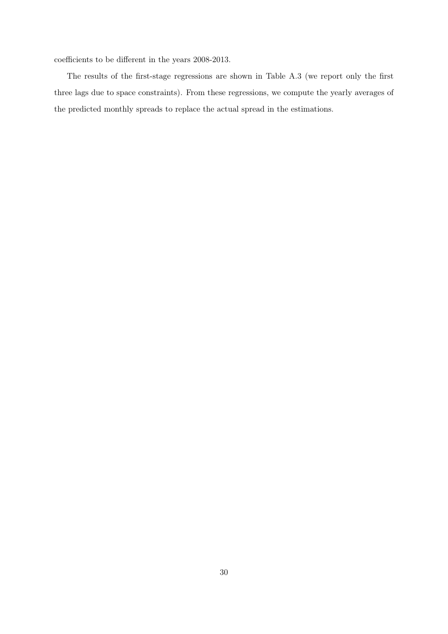coefficients to be different in the years 2008-2013.

The results of the first-stage regressions are shown in Table A.3 (we report only the first three lags due to space constraints). From these regressions, we compute the yearly averages of the predicted monthly spreads to replace the actual spread in the estimations.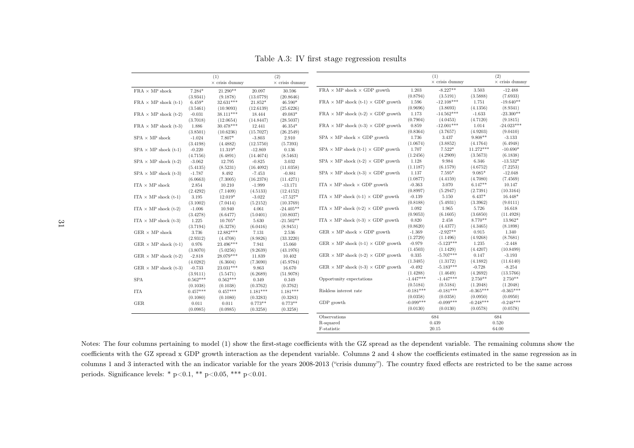|                                           |            | (1)<br>$\times$ crisis dummy |            | (2)<br>$\times$ crisis dummy |                                                              |             | (1)<br>$\times$ crisis dummy |             | (2)<br>$\times$ crisis dummy |
|-------------------------------------------|------------|------------------------------|------------|------------------------------|--------------------------------------------------------------|-------------|------------------------------|-------------|------------------------------|
| ${\rm FRA}\,\times\,{\rm MP}$ shock       | $7.284*$   | 21.290**                     | 20.097     | 30.596                       | $\text{FRA} \times \text{MP shock} \times \text{GDP growth}$ | 1.203       | $-8.227**$                   | 3.503       | $-12.488$                    |
|                                           | (3.9341)   | (9.1878)                     | (13.0779)  | (20.8646)                    |                                                              | (0.8794)    | (3.5191)                     | (3.5888)    | (7.6933)                     |
| $\text{FRA} \times \text{MP shock (t-1)}$ | $6.459*$   | 32.631***                    | $21.852*$  | 46.590*                      | FRA $\times$ MP shock (t-1) $\times$ GDP growth              | 1.596       | $-12.108***$                 | 1.751       | $-19.640**$                  |
|                                           | (3.5461)   | (10.9093)                    | (12.6139)  | (25.6226)                    |                                                              | (0.9696)    | (3.8693)                     | (4.1356)    | (8.9341)                     |
| $\text{FRA} \times \text{MP shock}$ (t-2) | $-0.031$   | 38.111***                    | 18.444     | 49.083*                      | FRA $\times$ MP shock (t-2) $\times$ GDP growth              | 1.173       | $-14.562***$                 | $-1.633$    | $-23.300**$                  |
|                                           | (3.7018)   | (12.0654)                    | (14.8447)  | (28.5037)                    |                                                              | (0.7904)    | (4.0453)                     | (4.7120)    | (9.1815)                     |
| $\text{FRA} \times \text{MP shock}$ (t-3) | 1.886      | $30.478***$                  | 12.441     | $46.354*$                    | FRA $\times$ MP shock (t-3) $\times$ GDP growth              | 0.859       | $-12.001***$                 | 1.014       | $-24.023***$                 |
|                                           | (3.8501)   | (10.6236)                    | (15.7027)  | (26.2549)                    |                                                              | (0.8364)    | (3.7657)                     | (4.9203)    | (9.0410)                     |
| $\mathrm{SPA}\, \times \mathrm{MP}$ shock | $-1.024$   | 7.807*                       | $-3.803$   | 2.910                        | $SPA \times MP$ shock $\times GDP$ growth                    | 1.736       | 3.437                        | $9.808**$   | $-3.133$                     |
|                                           | (3.4198)   | (4.4882)                     | (12.5750)  | (5.7393)                     |                                                              | (1.0674)    | (3.8852)                     | (4.1764)    | (6.4948)                     |
| $SPA \times MP$ shock (t-1)               | $-0.220$   | 11.319*                      | $-12.869$  | 0.136                        | SPA $\times$ MP shock (t-1) $\times$ GDP growth              | 1.707       | $7.522*$                     | 11.272***   | $-10.690*$                   |
|                                           | (4.7156)   | (6.4891)                     | (14.4674)  | (8.5463)                     |                                                              | (1.2456)    | (4.2909)                     | (3.5673)    | (6.1838)                     |
| $SPA \times MP$ shock (t-2)               | $-3.062$   | 12.795                       | $-0.825$   | 3.032                        | SPA $\times$ MP shock (t-2) $\times$ GDP growth              | 1.128       | 9.984                        | 6.346       | $-13.532*$                   |
|                                           | (5.4135)   | (8.5231)                     | (16.4092)  | (11.0358)                    |                                                              | (1.1187)    | (6.1579)                     | (4.6752)    | (7.2253)                     |
| $SPA \times MP$ shock (t-3)               | $-1.787$   | 8.492                        | $-7.453$   | $-0.881$                     | SPA $\times$ MP shock (t-3) $\times$ GDP growth              | 1.137       | $7.595*$                     | $9.085*$    | $-12.048$                    |
|                                           | (6.0663)   | (7.3005)                     | (16.2378)  | (11.4271)                    |                                                              | (1.0877)    | (4.4159)                     | (4.7080)    | (7.4569)                     |
| ITA $\times$ MP shock                     | 2.854      | 10.210                       | $-1.999$   | $-13.171$                    | ITA $\times$ MP shock $\times$ GDP growth                    | $-0.363$    | 3.070                        | $6.147**$   | 10.147                       |
|                                           | (2.4292)   | (7.1409)                     | (4.5133)   | (12.4152)                    |                                                              | (0.8997)    | (5.2947)                     | (2.7391)    | (10.3164)                    |
| ITA $\times$ MP shock (t-1)               | 3.195      | $12.019*$                    | $-3.022$   | $-17.527*$                   | ITA $\times$ MP shock (t-1) $\times$ GDP growth              | $-0.139$    | 5.150                        | $6.437*$    | $16.448*$                    |
|                                           | (3.1002)   | (7.0414)                     | (5.2152)   | (10.3769)                    |                                                              | (0.8188)    | (5.4931)                     | (3.3962)    | (9.0111)                     |
| ITA $\times$ MP shock (t-2)               | $-1.006$   | 10.940                       | 4.061      | $-24.405**$                  | ITA $\times$ MP shock (t-2) $\times$ GDP growth              | 1.092       | 1.965                        | 5.726       | 16.618                       |
|                                           | (3.4278)   | (6.6477)                     | (5.0401)   | (10.8037)                    |                                                              | (0.9053)    | (6.1605)                     | (3.6850)    | (11.4928)                    |
| ITA $\times$ MP shock (t-3)               | 1.225      | 10.705*                      | 5.630      | $\text{-}21.502^{**}$        | ITA $\times$ MP shock (t-3) $\times$ GDP growth              | 0.820       | 2.458                        | $8.770**$   | 13.962*                      |
|                                           | (3.7194)   | (6.3278)                     | (6.0416)   | (8.9451)                     |                                                              | (0.8620)    | (4.4377)                     | (4.3465)    | (8.1898)                     |
| $\rm GER$ $\times$ MP shock               | 3.736      | 12.882***                    | 7.131      | 2.536                        | GER $\times$ MP shock $\times$ GDP growth                    | $-1.369$    | $-2.927**$                   | 0.915       | 1.340                        |
|                                           | (2.9312)   | (4.4708)                     | (8.9826)   | (33.3220)                    |                                                              | (1.2729)    | (1.1496)                     | (4.9268)    | (8.7681)                     |
| GER $\times$ MP shock (t-1)               | 0.976      | 23.496***                    | 7.941      | 15.060                       | GER $\times$ MP shock (t-1) $\times$ GDP growth              | $-0.979$    | $-5.123***$                  | 1.235       | $-2.448$                     |
|                                           | (3.8070)   | (5.0256)                     | (9.2639)   | (43.1976)                    |                                                              | (1.4503)    | (1.1429)                     | (4.4207)    | (10.8499)                    |
| GER $\times$ MP shock (t-2)               | $-2.818$   | $28.079***$                  | 11.839     | 10.402                       | GER $\times$ MP shock (t-2) $\times$ GDP growth              | 0.335       | $-5.707***$                  | 0.147       | $-3.193$                     |
|                                           | (4.0282)   | (6.3604)                     | (7.3690)   | (45.9784)                    |                                                              | (1.3485)    | (1.3172)                     | (4.1882)    | (11.6140)                    |
| GER $\times$ MP shock (t-3)               | $-0.733$   | 23.031***                    | 9.863      | 16.670                       | GER $\times$ MP shock (t-3) $\times$ GDP growth              | $-0.492$    | $-5.183***$                  | $-0.728$    | $-8.254$                     |
|                                           | (3.9111)   | (5.5471)                     | (6.2689)   | (51.9078)                    |                                                              | (1.4288)    | (1.4649)                     | (4.2692)    | (13.5766)                    |
| <b>SPA</b>                                | $0.562***$ | $0.562***$                   | 0.349      | 0.349                        | Opportunity expectations                                     | $-1.447***$ | $-1.447***$                  | $2.750**$   | $2.750**$                    |
|                                           | (0.1038)   | (0.1038)                     | (0.3762)   | (0.3762)                     |                                                              | (0.5184)    | (0.5184)                     | (1.2048)    | (1.2048)                     |
| <b>ITA</b>                                | $0.457***$ | $0.457***$                   | $1.181***$ | $1.181***$                   | Riskless interest rate                                       | $-0.181***$ | $-0.181***$                  | $-0.365***$ | $-0.365***$                  |
|                                           | (0.1080)   | (0.1080)                     | (0.3283)   | (0.3283)                     |                                                              | (0.0358)    | (0.0358)                     | (0.0950)    | (0.0950)                     |
| GER                                       | 0.011      | 0.011                        | $0.773**$  | $0.773**$                    | GDP growth                                                   | $-0.099***$ | $-0.099***$                  | $-0.248***$ | $-0.248***$                  |
|                                           | (0.0985)   | (0.0985)                     | (0.3258)   | (0.3258)                     |                                                              | (0.0130)    | (0.0130)                     | (0.0578)    | (0.0578)                     |
|                                           |            |                              |            |                              | Observations                                                 | 684         |                              | 684         |                              |
|                                           |            |                              |            | R-squared                    |                                                              | 0.439       |                              | 0.520       |                              |
|                                           |            |                              |            |                              | F-statistic                                                  |             | 20.15                        |             | 64.00                        |

Table A.3: IV first stage regression results

Notes: The four columns pertaining to model (1) show the first-stage coefficients with the GZ spread as the dependent variable. The remaining columns show the coefficients with the GZ spread <sup>x</sup> GDP growth interaction as the dependent variable. Columns 2 and 4 show the coefficients estimated in the same regression as in columns <sup>1</sup> and <sup>3</sup> interacted with the an indicator variable for the years 2008-2013 ("crisis dummy"). The country fixed effects are restricted to be the same acrossperiods. Significance levels: \* p<0.1, \*\* p<0.05, \*\*\* p<0.01.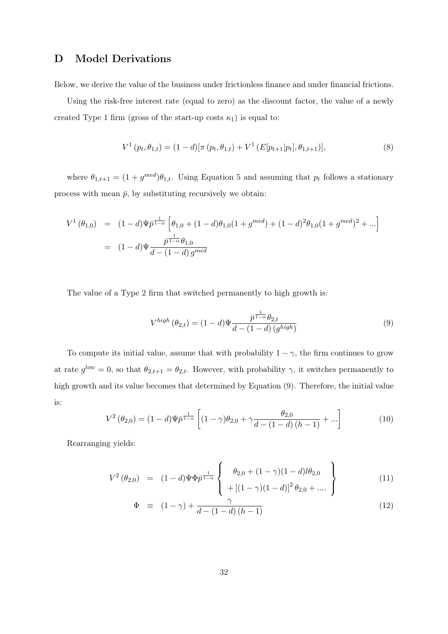# D Model Derivations

Below, we derive the value of the business under frictionless finance and under financial frictions.

Using the risk-free interest rate (equal to zero) as the discount factor, the value of a newly created Type 1 firm (gross of the start-up costs  $\kappa_1$ ) is equal to:

$$
V^{1}(p_{t}, \theta_{1,t}) = (1-d)[\pi (p_{t}, \theta_{1,t}) + V^{1}(E[p_{t+1}|p_{t}], \theta_{1,t+1})],
$$
\n(8)

where  $\theta_{1,t+1} = (1 + g^{med})\theta_{1,t}$ . Using Equation 5 and assuming that  $p_t$  follows a stationary process with mean  $\bar{p}$ , by substituting recursively we obtain:

$$
V^{1}(\theta_{1,0}) = (1-d)\Psi \bar{p}^{\frac{1}{1-\alpha}} \left[ \theta_{1,0} + (1-d)\theta_{1,0}(1+g^{med}) + (1-d)^{2}\theta_{1,0}(1+g^{med})^{2} + \ldots \right]
$$
  
= 
$$
(1-d)\Psi \frac{\bar{p}^{\frac{1}{1-\alpha}}\theta_{1,0}}{d-(1-d)g^{med}}
$$

The value of a Type 2 firm that switched permanently to high growth is:

$$
V^{high}(\theta_{2,t}) = (1-d)\Psi \frac{\bar{p}^{\frac{1}{1-\alpha}}\theta_{2,t}}{d - (1-d)(g^{high})}
$$
\n
$$
(9)
$$

To compute its initial value, assume that with probability  $1 - \gamma$ , the firm continues to grow at rate  $g^{low} = 0$ , so that  $\theta_{2,t+1} = \theta_{2,t}$ . However, with probability  $\gamma$ , it switches permanently to high growth and its value becomes that determined by Equation (9). Therefore, the initial value is:

$$
V^{2}(\theta_{2,0}) = (1-d)\Psi \bar{p}^{\frac{1}{1-\alpha}} \left[ (1-\gamma)\theta_{2,0} + \gamma \frac{\theta_{2,0}}{d - (1-d)(h-1)} + \ldots \right]
$$
(10)

Rearranging yields:

$$
V^{2}(\theta_{2,0}) = (1-d)\Psi\Phi\bar{p}^{\frac{1}{1-\alpha}}\left\{\begin{array}{l}\theta_{2,0} + (1-\gamma)(1-d)l\theta_{2,0} \\ + [(1-\gamma)(1-d)]^{2}\theta_{2,0} + ....\end{array}\right\}
$$
(11)

$$
\Phi \equiv (1 - \gamma) + \frac{\gamma}{d - (1 - d)(h - 1)} \tag{12}
$$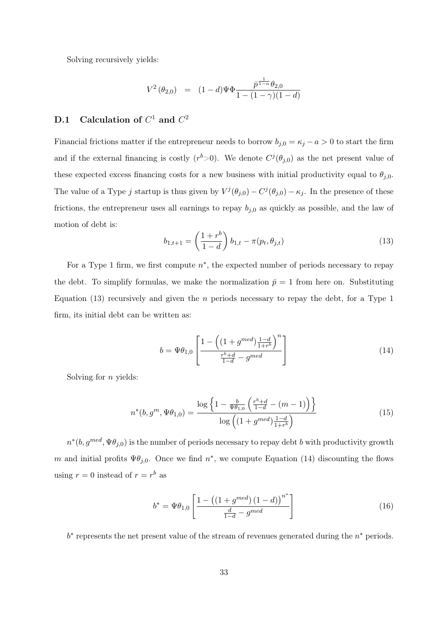Solving recursively yields:

$$
V^{2}(\theta_{2,0}) = (1-d)\Psi\Phi \frac{\bar{p}^{\frac{1}{1-\alpha}}\theta_{2,0}}{1-(1-\gamma)(1-d)}
$$

## D.1 Calculation of  $C^1$  and  $C^2$

Financial frictions matter if the entrepreneur needs to borrow  $b_{j,0} = \kappa_j - a > 0$  to start the firm and if the external financing is costly  $(r^b>0)$ . We denote  $C^j(\theta_{j,0})$  as the net present value of these expected excess financing costs for a new business with initial productivity equal to  $\theta_{j,0}$ . The value of a Type j startup is thus given by  $V^j(\theta_{j,0}) - C^j(\theta_{j,0}) - \kappa_j$ . In the presence of these frictions, the entrepreneur uses all earnings to repay  $b_{j,0}$  as quickly as possible, and the law of motion of debt is:

$$
b_{1,t+1} = \left(\frac{1+r^b}{1-d}\right) b_{1,t} - \pi(p_t, \theta_{j,t})
$$
\n(13)

For a Type 1 firm, we first compute  $n^*$ , the expected number of periods necessary to repay the debt. To simplify formulas, we make the normalization  $\bar{p}=1$  from here on. Substituting Equation  $(13)$  recursively and given the *n* periods necessary to repay the debt, for a Type 1 firm, its initial debt can be written as:

$$
b = \Psi \theta_{1,0} \left[ \frac{1 - \left( (1 + g^{med}) \frac{1 - d}{1 + r^b} \right)^n}{\frac{r^b + d}{1 - d} - g^{med}} \right]
$$
 (14)

Solving for  $n$  yields:

$$
n^*(b, g^m, \Psi \theta_{1,0}) = \frac{\log \left\{ 1 - \frac{b}{\Psi \theta_{1,0}} \left( \frac{r^b + d}{1 - d} - (m - 1) \right) \right\}}{\log \left( (1 + g^{med}) \frac{1 - d}{1 + r^b} \right)} \tag{15}
$$

 $n^*(b, g^{med}, \Psi \theta_{j,0})$  is the number of periods necessary to repay debt b with productivity growth m and initial profits  $\Psi \theta_{j,0}$ . Once we find  $n^*$ , we compute Equation (14) discounting the flows using  $r = 0$  instead of  $r = r^b$  as

$$
b^* = \Psi \theta_{1,0} \left[ \frac{1 - \left( (1 + g^{med}) \left( 1 - d \right) \right)^{n^*}}{\frac{d}{1 - d} - g^{med}} \right] \tag{16}
$$

 $b^*$  represents the net present value of the stream of revenues generated during the  $n^*$  periods.